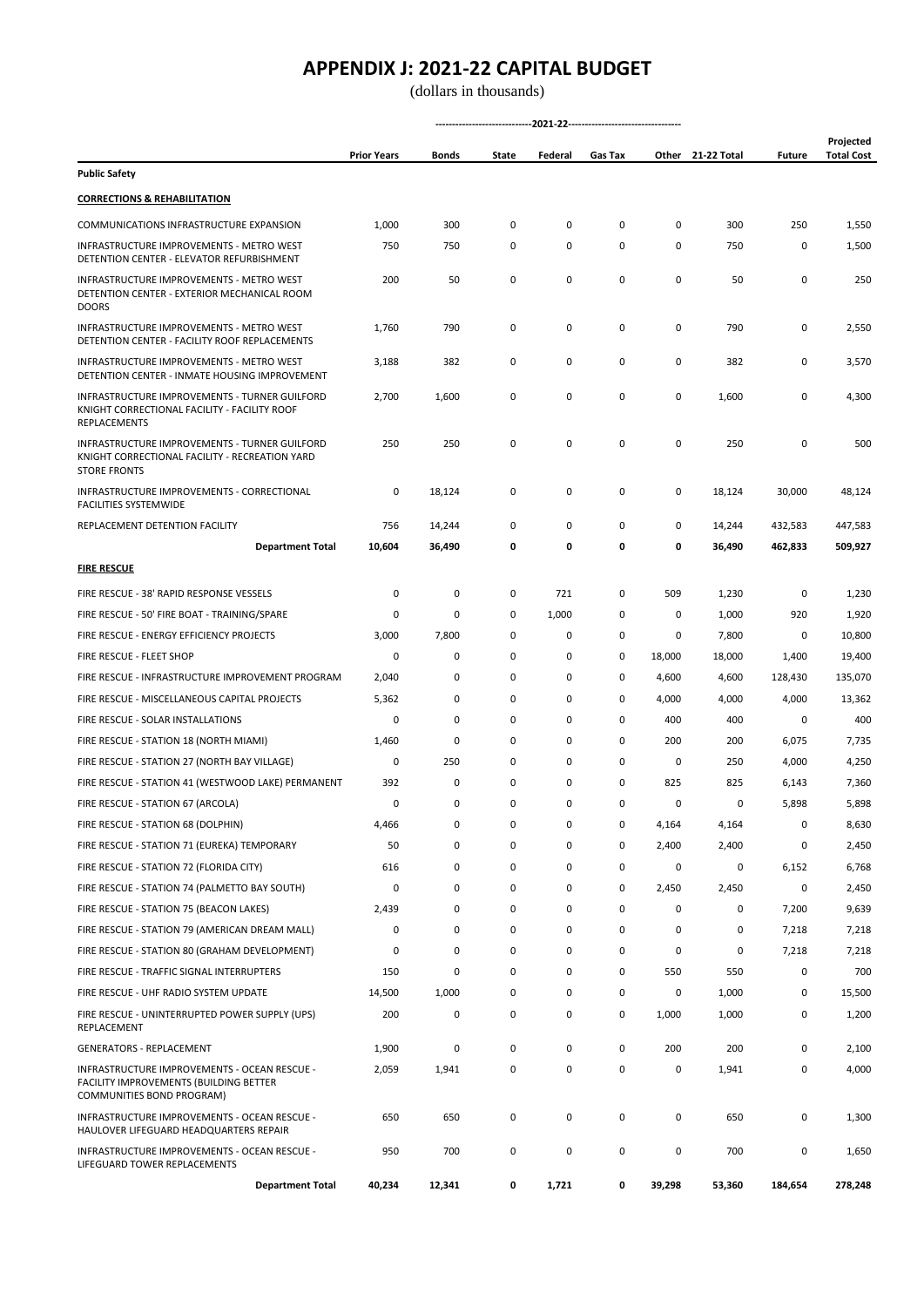|                                                                                                                        | <b>Prior Years</b> | Bonds  | State       | Federal | Gas Tax     | Other  | 21-22 Total | <b>Future</b> | Projected<br><b>Total Cost</b> |
|------------------------------------------------------------------------------------------------------------------------|--------------------|--------|-------------|---------|-------------|--------|-------------|---------------|--------------------------------|
| <b>Public Safety</b>                                                                                                   |                    |        |             |         |             |        |             |               |                                |
| <b>CORRECTIONS &amp; REHABILITATION</b>                                                                                |                    |        |             |         |             |        |             |               |                                |
| COMMUNICATIONS INFRASTRUCTURE EXPANSION                                                                                | 1,000              | 300    | 0           | 0       | 0           | 0      | 300         | 250           | 1,550                          |
| INFRASTRUCTURE IMPROVEMENTS - METRO WEST<br>DETENTION CENTER - ELEVATOR REFURBISHMENT                                  | 750                | 750    | 0           | 0       | 0           | 0      | 750         | 0             | 1,500                          |
| <b>INFRASTRUCTURE IMPROVEMENTS - METRO WEST</b><br>DETENTION CENTER - EXTERIOR MECHANICAL ROOM<br><b>DOORS</b>         | 200                | 50     | 0           | 0       | 0           | 0      | 50          | 0             | 250                            |
| INFRASTRUCTURE IMPROVEMENTS - METRO WEST<br>DETENTION CENTER - FACILITY ROOF REPLACEMENTS                              | 1,760              | 790    | 0           | 0       | 0           | 0      | 790         | 0             | 2,550                          |
| INFRASTRUCTURE IMPROVEMENTS - METRO WEST<br>DETENTION CENTER - INMATE HOUSING IMPROVEMENT                              | 3,188              | 382    | 0           | 0       | 0           | 0      | 382         | 0             | 3,570                          |
| INFRASTRUCTURE IMPROVEMENTS - TURNER GUILFORD<br>KNIGHT CORRECTIONAL FACILITY - FACILITY ROOF<br><b>REPLACEMENTS</b>   | 2,700              | 1,600  | 0           | 0       | 0           | 0      | 1,600       | 0             | 4,300                          |
| INFRASTRUCTURE IMPROVEMENTS - TURNER GUILFORD<br>KNIGHT CORRECTIONAL FACILITY - RECREATION YARD<br><b>STORE FRONTS</b> | 250                | 250    | 0           | 0       | 0           | 0      | 250         | 0             | 500                            |
| INFRASTRUCTURE IMPROVEMENTS - CORRECTIONAL<br><b>FACILITIES SYSTEMWIDE</b>                                             | 0                  | 18,124 | 0           | 0       | $\mathsf 0$ | 0      | 18,124      | 30,000        | 48,124                         |
| REPLACEMENT DETENTION FACILITY                                                                                         | 756                | 14,244 | 0           | 0       | 0           | 0      | 14,244      | 432,583       | 447,583                        |
| <b>Department Total</b>                                                                                                | 10,604             | 36,490 | 0           | 0       | 0           | 0      | 36,490      | 462,833       | 509,927                        |
| <b>FIRE RESCUE</b>                                                                                                     |                    |        |             |         |             |        |             |               |                                |
| FIRE RESCUE - 38' RAPID RESPONSE VESSELS                                                                               | 0                  | 0      | 0           | 721     | 0           | 509    | 1,230       | 0             | 1,230                          |
| FIRE RESCUE - 50' FIRE BOAT - TRAINING/SPARE                                                                           | 0                  | 0      | 0           | 1,000   | 0           | 0      | 1,000       | 920           | 1,920                          |
| FIRE RESCUE - ENERGY EFFICIENCY PROJECTS                                                                               | 3,000              | 7,800  | 0           | 0       | 0           | 0      | 7,800       | 0             | 10,800                         |
| FIRE RESCUE - FLEET SHOP                                                                                               | 0                  | 0      | 0           | 0       | 0           | 18,000 | 18,000      | 1,400         | 19,400                         |
| FIRE RESCUE - INFRASTRUCTURE IMPROVEMENT PROGRAM                                                                       | 2,040              | 0      | 0           | 0       | 0           | 4,600  | 4,600       | 128,430       | 135,070                        |
| FIRE RESCUE - MISCELLANEOUS CAPITAL PROJECTS                                                                           | 5,362              | 0      | 0           | 0       | 0           | 4,000  | 4,000       | 4,000         | 13,362                         |
| FIRE RESCUE - SOLAR INSTALLATIONS                                                                                      | 0                  | 0      | 0           | 0       | 0           | 400    | 400         | 0             | 400                            |
| FIRE RESCUE - STATION 18 (NORTH MIAMI)                                                                                 | 1,460              | 0      | $\mathbf 0$ | 0       | 0           | 200    | 200         | 6,075         | 7,735                          |
| FIRE RESCUE - STATION 27 (NORTH BAY VILLAGE)                                                                           | 0                  | 250    | $\mathbf 0$ | 0       | 0           | 0      | 250         | 4,000         | 4,250                          |
| FIRE RESCUE - STATION 41 (WESTWOOD LAKE) PERMANENT                                                                     | 392                | 0      | 0           | 0       | 0           | 825    | 825         | 6,143         | 7,360                          |
| FIRE RESCUE - STATION 67 (ARCOLA)                                                                                      | $\Omega$           | 0      | 0           | 0       | 0           | 0      | 0           | 5,898         | 5,898                          |
| FIRE RESCUE - STATION 68 (DOLPHIN)                                                                                     | 4,466              | 0      | 0           | 0       | 0           | 4,164  | 4,164       | 0             | 8,630                          |
| FIRE RESCUE - STATION 71 (EUREKA) TEMPORARY                                                                            | 50                 | 0      | 0           | 0       | 0           | 2,400  | 2,400       | 0             | 2,450                          |
| FIRE RESCUE - STATION 72 (FLORIDA CITY)                                                                                | 616                | 0      | 0           | 0       | 0           | 0      | 0           | 6,152         | 6,768                          |
| FIRE RESCUE - STATION 74 (PALMETTO BAY SOUTH)                                                                          | 0                  | 0      | 0           | 0       | 0           | 2,450  | 2,450       | 0             | 2,450                          |
| FIRE RESCUE - STATION 75 (BEACON LAKES)                                                                                | 2,439              | 0      | 0           | 0       | 0           | 0      | 0           | 7,200         | 9,639                          |
| FIRE RESCUE - STATION 79 (AMERICAN DREAM MALL)                                                                         | 0                  | 0      | 0           | 0       | 0           | 0      | 0           | 7,218         | 7,218                          |
| FIRE RESCUE - STATION 80 (GRAHAM DEVELOPMENT)                                                                          | 0                  | 0      | 0           | 0       | 0           | 0      | 0           | 7,218         | 7,218                          |
| FIRE RESCUE - TRAFFIC SIGNAL INTERRUPTERS                                                                              | 150                | 0      | 0           | 0       | 0           | 550    | 550         | 0             | 700                            |
| FIRE RESCUE - UHF RADIO SYSTEM UPDATE                                                                                  | 14,500             | 1,000  | 0           | 0       | 0           | 0      | 1,000       | 0             | 15,500                         |
| FIRE RESCUE - UNINTERRUPTED POWER SUPPLY (UPS)<br>REPLACEMENT                                                          | 200                | 0      | 0           | 0       | 0           | 1,000  | 1,000       | 0             | 1,200                          |
| <b>GENERATORS - REPLACEMENT</b>                                                                                        | 1,900              | 0      | 0           | 0       | $\mathsf 0$ | 200    | 200         | 0             | 2,100                          |
| INFRASTRUCTURE IMPROVEMENTS - OCEAN RESCUE -<br>FACILITY IMPROVEMENTS (BUILDING BETTER<br>COMMUNITIES BOND PROGRAM)    | 2,059              | 1,941  | 0           | 0       | 0           | 0      | 1,941       | 0             | 4,000                          |
| INFRASTRUCTURE IMPROVEMENTS - OCEAN RESCUE -<br>HAULOVER LIFEGUARD HEADQUARTERS REPAIR                                 | 650                | 650    | 0           | 0       | $\mathsf 0$ | 0      | 650         | 0             | 1,300                          |
| INFRASTRUCTURE IMPROVEMENTS - OCEAN RESCUE -<br>LIFEGUARD TOWER REPLACEMENTS                                           | 950                | 700    | 0           | 0       | 0           | 0      | 700         | 0             | 1,650                          |
| <b>Department Total</b>                                                                                                | 40,234             | 12,341 | 0           | 1,721   | 0           | 39,298 | 53,360      | 184,654       | 278,248                        |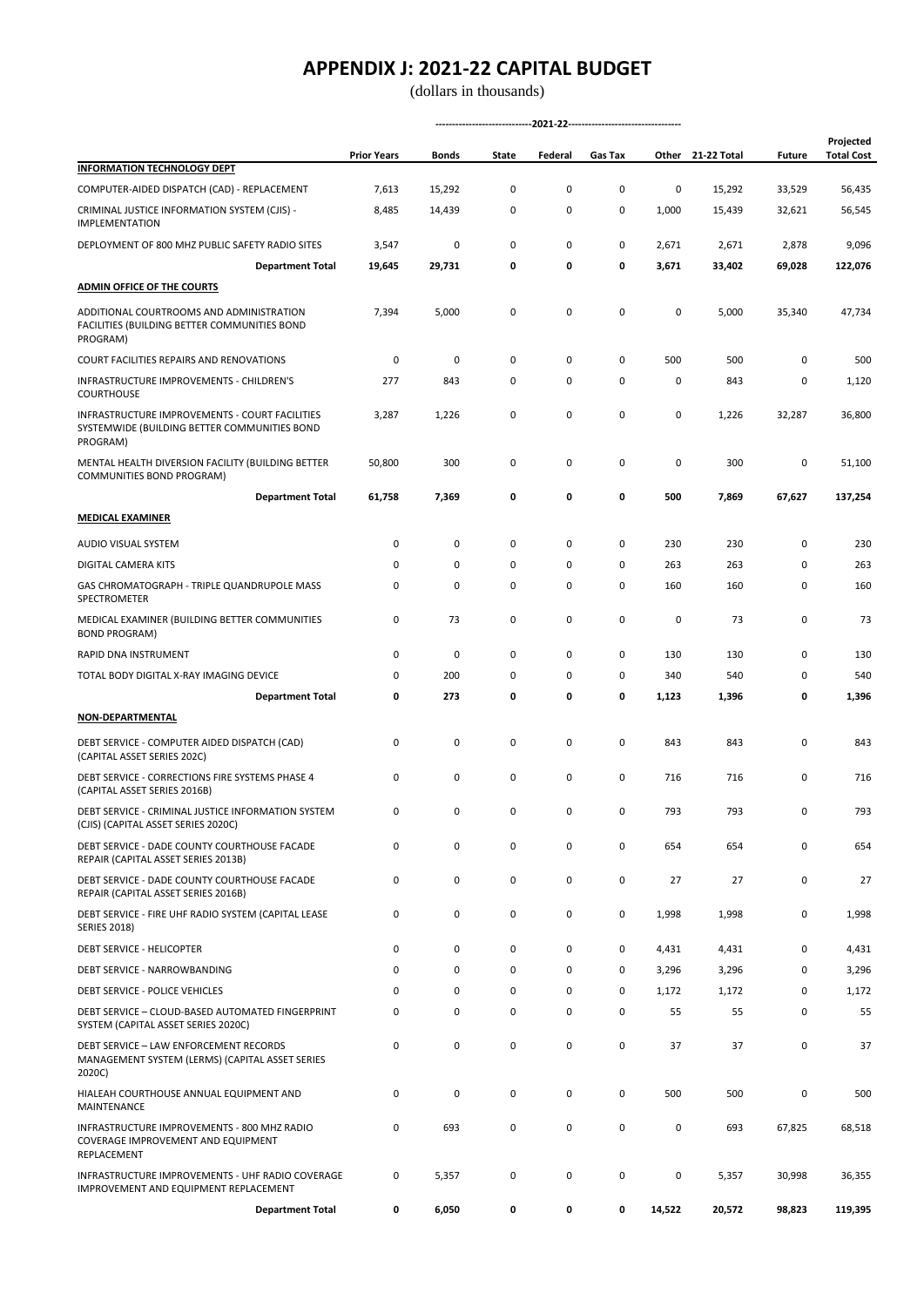|                                                                                                            | <b>Prior Years</b> | Bonds       | State        | Federal     | Gas Tax      |        | Other 21-22 Total | <b>Future</b> | Projected<br><b>Total Cost</b> |
|------------------------------------------------------------------------------------------------------------|--------------------|-------------|--------------|-------------|--------------|--------|-------------------|---------------|--------------------------------|
| <b>INFORMATION TECHNOLOGY DEPT</b>                                                                         |                    |             |              |             |              |        |                   |               |                                |
| COMPUTER-AIDED DISPATCH (CAD) - REPLACEMENT                                                                | 7,613              | 15,292      | 0            | 0           | 0            | 0      | 15,292            | 33,529        | 56,435                         |
| CRIMINAL JUSTICE INFORMATION SYSTEM (CJIS) -<br><b>IMPLEMENTATION</b>                                      | 8,485              | 14,439      | 0            | 0           | 0            | 1,000  | 15,439            | 32,621        | 56,545                         |
| DEPLOYMENT OF 800 MHZ PUBLIC SAFETY RADIO SITES                                                            | 3,547              | 0           | 0            | 0           | 0            | 2,671  | 2,671             | 2,878         | 9,096                          |
| <b>Department Total</b>                                                                                    | 19,645             | 29,731      | 0            | 0           | 0            | 3,671  | 33,402            | 69,028        | 122,076                        |
| <b>ADMIN OFFICE OF THE COURTS</b>                                                                          |                    |             |              |             |              |        |                   |               |                                |
| ADDITIONAL COURTROOMS AND ADMINISTRATION<br>FACILITIES (BUILDING BETTER COMMUNITIES BOND<br>PROGRAM)       | 7,394              | 5,000       | 0            | $\mathsf 0$ | $\mathsf 0$  | 0      | 5,000             | 35,340        | 47,734                         |
| COURT FACILITIES REPAIRS AND RENOVATIONS                                                                   | 0                  | 0           | 0            | 0           | 0            | 500    | 500               | 0             | 500                            |
| INFRASTRUCTURE IMPROVEMENTS - CHILDREN'S<br><b>COURTHOUSE</b>                                              | 277                | 843         | 0            | 0           | 0            | 0      | 843               | 0             | 1,120                          |
| INFRASTRUCTURE IMPROVEMENTS - COURT FACILITIES<br>SYSTEMWIDE (BUILDING BETTER COMMUNITIES BOND<br>PROGRAM) | 3,287              | 1,226       | 0            | $\mathsf 0$ | 0            | 0      | 1,226             | 32,287        | 36,800                         |
| MENTAL HEALTH DIVERSION FACILITY (BUILDING BETTER<br>COMMUNITIES BOND PROGRAM)                             | 50,800             | 300         | 0            | 0           | 0            | 0      | 300               | 0             | 51,100                         |
| <b>Department Total</b>                                                                                    | 61,758             | 7,369       | 0            | 0           | 0            | 500    | 7,869             | 67,627        | 137,254                        |
| <b>MEDICAL EXAMINER</b>                                                                                    |                    |             |              |             |              |        |                   |               |                                |
| AUDIO VISUAL SYSTEM                                                                                        | 0                  | 0           | 0            | 0           | 0            | 230    | 230               | 0             | 230                            |
| DIGITAL CAMERA KITS                                                                                        | 0                  | 0           | 0            | 0           | 0            | 263    | 263               | 0             | 263                            |
| GAS CHROMATOGRAPH - TRIPLE QUANDRUPOLE MASS<br>SPECTROMETER                                                | 0                  | 0           | 0            | 0           | 0            | 160    | 160               | 0             | 160                            |
| MEDICAL EXAMINER (BUILDING BETTER COMMUNITIES<br><b>BOND PROGRAM)</b>                                      | 0                  | 73          | 0            | $\mathsf 0$ | 0            | 0      | 73                | 0             | 73                             |
| RAPID DNA INSTRUMENT                                                                                       | 0                  | 0           | 0            | $\mathsf 0$ | 0            | 130    | 130               | 0             | 130                            |
| TOTAL BODY DIGITAL X-RAY IMAGING DEVICE                                                                    | 0                  | 200         | 0            | 0           | $\mathsf 0$  | 340    | 540               | 0             | 540                            |
| <b>Department Total</b>                                                                                    | 0                  | 273         | 0            | 0           | 0            | 1,123  | 1,396             | 0             | 1,396                          |
| NON-DEPARTMENTAL                                                                                           |                    |             |              |             |              |        |                   |               |                                |
| DEBT SERVICE - COMPUTER AIDED DISPATCH (CAD)<br>(CAPITAL ASSET SERIES 202C)                                | 0                  | $\mathsf 0$ | 0            | 0           | 0            | 843    | 843               | 0             | 843                            |
| DEBT SERVICE - CORRECTIONS FIRE SYSTEMS PHASE 4<br>(CAPITAL ASSET SERIES 2016B)                            | 0                  | 0           | 0            | 0           | 0            | 716    | 716               | 0             | 716                            |
| DEBT SERVICE - CRIMINAL JUSTICE INFORMATION SYSTEM<br>(CJIS) (CAPITAL ASSET SERIES 2020C)                  | n                  | n           | <sup>n</sup> | $\Omega$    | <sup>n</sup> | 793    | 793               | n             | 793                            |
| DEBT SERVICE - DADE COUNTY COURTHOUSE FACADE<br>REPAIR (CAPITAL ASSET SERIES 2013B)                        | 0                  | $\mathsf 0$ | 0            | $\mathsf 0$ | 0            | 654    | 654               | 0             | 654                            |
| DEBT SERVICE - DADE COUNTY COURTHOUSE FACADE<br>REPAIR (CAPITAL ASSET SERIES 2016B)                        | 0                  | $\mathsf 0$ | 0            | 0           | 0            | 27     | 27                | 0             | 27                             |
| DEBT SERVICE - FIRE UHF RADIO SYSTEM (CAPITAL LEASE<br><b>SERIES 2018)</b>                                 | 0                  | $\mathsf 0$ | 0            | 0           | 0            | 1,998  | 1,998             | 0             | 1,998                          |
| DEBT SERVICE - HELICOPTER                                                                                  | 0                  | $\mathsf 0$ | 0            | $\mathsf 0$ | 0            | 4,431  | 4,431             | 0             | 4,431                          |
| DEBT SERVICE - NARROWBANDING                                                                               | 0                  | $\mathsf 0$ | 0            | 0           | 0            | 3,296  | 3,296             | 0             | 3,296                          |
| DEBT SERVICE - POLICE VEHICLES                                                                             | 0                  | 0           | 0            | 0           | 0            | 1,172  | 1,172             | 0             | 1,172                          |
| DEBT SERVICE - CLOUD-BASED AUTOMATED FINGERPRINT<br>SYSTEM (CAPITAL ASSET SERIES 2020C)                    | 0                  | 0           | 0            | 0           | 0            | 55     | 55                | 0             | 55                             |
| DEBT SERVICE - LAW ENFORCEMENT RECORDS<br>MANAGEMENT SYSTEM (LERMS) (CAPITAL ASSET SERIES<br>2020C)        | 0                  | $\mathsf 0$ | 0            | $\mathsf 0$ | 0            | 37     | 37                | 0             | 37                             |
| HIALEAH COURTHOUSE ANNUAL EQUIPMENT AND<br>MAINTENANCE                                                     | 0                  | 0           | 0            | 0           | 0            | 500    | 500               | 0             | 500                            |
| INFRASTRUCTURE IMPROVEMENTS - 800 MHZ RADIO<br>COVERAGE IMPROVEMENT AND EQUIPMENT<br>REPLACEMENT           | 0                  | 693         | 0            | 0           | 0            | 0      | 693               | 67,825        | 68,518                         |
| INFRASTRUCTURE IMPROVEMENTS - UHF RADIO COVERAGE<br>IMPROVEMENT AND EQUIPMENT REPLACEMENT                  | 0                  | 5,357       | 0            | $\pmb{0}$   | 0            | 0      | 5,357             | 30,998        | 36,355                         |
| <b>Department Total</b>                                                                                    | 0                  | 6,050       | 0            | 0           | 0            | 14,522 | 20,572            | 98,823        | 119,395                        |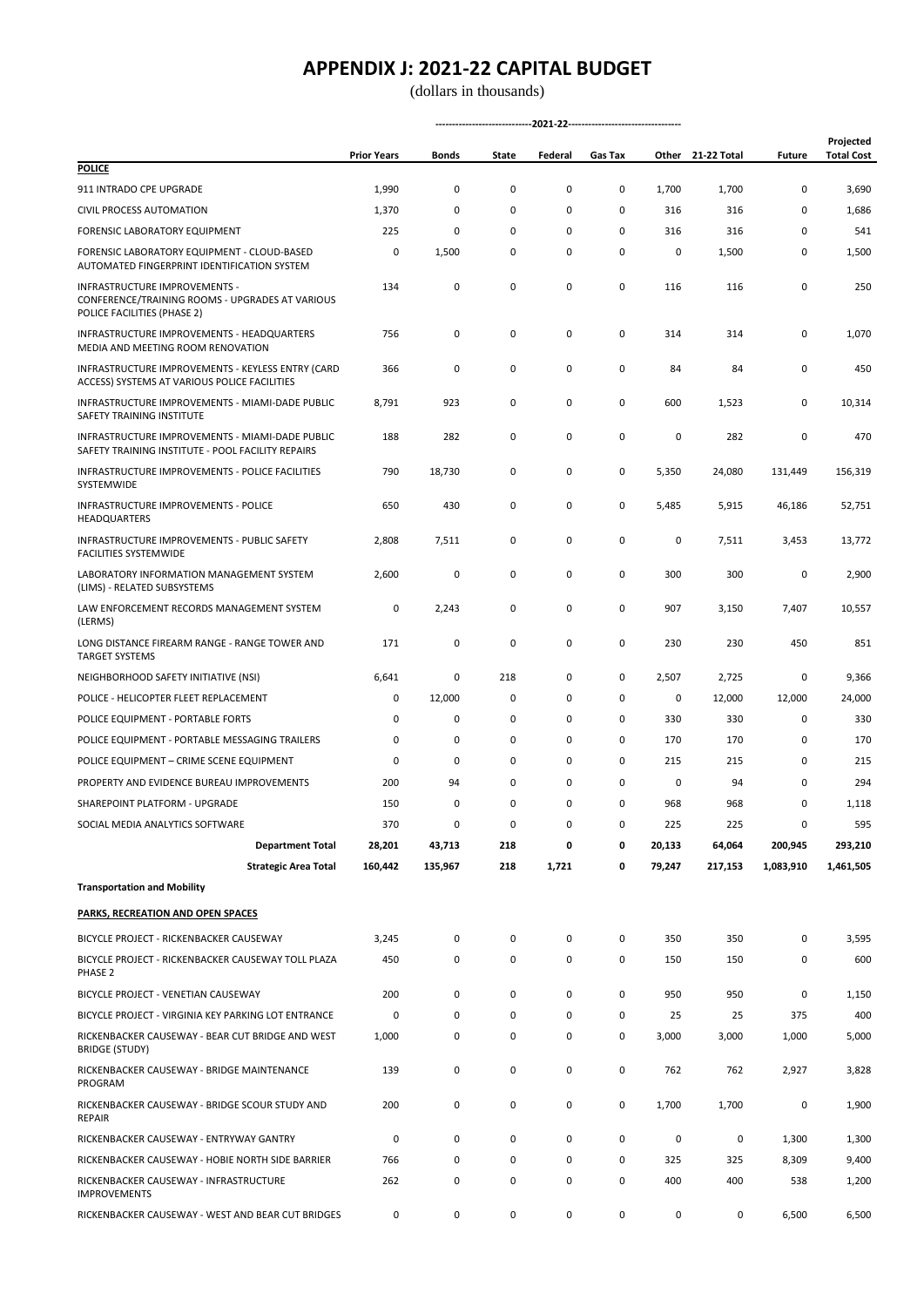|                                                                                                                 | <b>Prior Years</b> | Bonds   | State | Federal | Gas Tax |        | Other 21-22 Total | <b>Future</b> | Projected<br><b>Total Cost</b> |
|-----------------------------------------------------------------------------------------------------------------|--------------------|---------|-------|---------|---------|--------|-------------------|---------------|--------------------------------|
| <b>POLICE</b>                                                                                                   |                    |         |       |         |         |        |                   |               |                                |
| 911 INTRADO CPE UPGRADE                                                                                         | 1,990              | 0       | 0     | 0       | 0       | 1,700  | 1,700             | 0             | 3,690                          |
| CIVIL PROCESS AUTOMATION                                                                                        | 1,370              | 0       | 0     | 0       | 0       | 316    | 316               | 0             | 1,686                          |
| FORENSIC LABORATORY EQUIPMENT                                                                                   | 225                | 0       | 0     | 0       | 0       | 316    | 316               | 0             | 541                            |
| FORENSIC LABORATORY EQUIPMENT - CLOUD-BASED<br>AUTOMATED FINGERPRINT IDENTIFICATION SYSTEM                      | 0                  | 1,500   | 0     | 0       | 0       | 0      | 1,500             | 0             | 1,500                          |
| INFRASTRUCTURE IMPROVEMENTS -<br>CONFERENCE/TRAINING ROOMS - UPGRADES AT VARIOUS<br>POLICE FACILITIES (PHASE 2) | 134                | 0       | 0     | 0       | 0       | 116    | 116               | 0             | 250                            |
| INFRASTRUCTURE IMPROVEMENTS - HEADQUARTERS<br>MEDIA AND MEETING ROOM RENOVATION                                 | 756                | 0       | 0     | 0       | 0       | 314    | 314               | 0             | 1,070                          |
| INFRASTRUCTURE IMPROVEMENTS - KEYLESS ENTRY (CARD<br>ACCESS) SYSTEMS AT VARIOUS POLICE FACILITIES               | 366                | 0       | 0     | 0       | 0       | 84     | 84                | 0             | 450                            |
| INFRASTRUCTURE IMPROVEMENTS - MIAMI-DADE PUBLIC<br>SAFETY TRAINING INSTITUTE                                    | 8,791              | 923     | 0     | 0       | 0       | 600    | 1,523             | 0             | 10,314                         |
| INFRASTRUCTURE IMPROVEMENTS - MIAMI-DADE PUBLIC<br>SAFETY TRAINING INSTITUTE - POOL FACILITY REPAIRS            | 188                | 282     | 0     | 0       | 0       | 0      | 282               | 0             | 470                            |
| INFRASTRUCTURE IMPROVEMENTS - POLICE FACILITIES<br>SYSTEMWIDE                                                   | 790                | 18,730  | 0     | 0       | 0       | 5,350  | 24,080            | 131,449       | 156,319                        |
| INFRASTRUCTURE IMPROVEMENTS - POLICE<br><b>HEADQUARTERS</b>                                                     | 650                | 430     | 0     | 0       | 0       | 5,485  | 5,915             | 46,186        | 52,751                         |
| <b>INFRASTRUCTURE IMPROVEMENTS - PUBLIC SAFETY</b><br><b>FACILITIES SYSTEMWIDE</b>                              | 2,808              | 7,511   | 0     | 0       | 0       | 0      | 7,511             | 3,453         | 13,772                         |
| LABORATORY INFORMATION MANAGEMENT SYSTEM<br>(LIMS) - RELATED SUBSYSTEMS                                         | 2,600              | 0       | 0     | 0       | 0       | 300    | 300               | 0             | 2,900                          |
| LAW ENFORCEMENT RECORDS MANAGEMENT SYSTEM<br>(LERMS)                                                            | 0                  | 2,243   | 0     | 0       | 0       | 907    | 3,150             | 7,407         | 10,557                         |
| LONG DISTANCE FIREARM RANGE - RANGE TOWER AND<br><b>TARGET SYSTEMS</b>                                          | 171                | 0       | 0     | 0       | 0       | 230    | 230               | 450           | 851                            |
| NEIGHBORHOOD SAFETY INITIATIVE (NSI)                                                                            | 6,641              | 0       | 218   | 0       | 0       | 2,507  | 2,725             | 0             | 9,366                          |
| POLICE - HELICOPTER FLEET REPLACEMENT                                                                           | 0                  | 12,000  | 0     | 0       | 0       | 0      | 12,000            | 12,000        | 24,000                         |
| POLICE EQUIPMENT - PORTABLE FORTS                                                                               | 0                  | 0       | 0     | 0       | 0       | 330    | 330               | 0             | 330                            |
| POLICE EQUIPMENT - PORTABLE MESSAGING TRAILERS                                                                  | 0                  | 0       | 0     | 0       | 0       | 170    | 170               | 0             | 170                            |
| POLICE EQUIPMENT - CRIME SCENE EQUIPMENT                                                                        | 0                  | 0       | 0     | 0       | 0       | 215    | 215               | 0             | 215                            |
| PROPERTY AND EVIDENCE BUREAU IMPROVEMENTS                                                                       | 200                | 94      | 0     | 0       | 0       | 0      | 94                | 0             | 294                            |
| SHAREPOINT PLATFORM - UPGRADE                                                                                   | 150                | 0       | 0     | 0       | 0       | 968    | 968               | 0             | 1,118                          |
| SOCIAL MEDIA ANALYTICS SOFTWARE                                                                                 | 370                | 0       | 0     | 0       | 0       | 225    | 225               | 0             | 595                            |
| <b>Department Total</b>                                                                                         | 28,201             | 43,713  | 218   | 0       | 0       | 20,133 | 64,064            | 200,945       | 293,210                        |
| <b>Strategic Area Total</b>                                                                                     | 160,442            | 135,967 | 218   | 1,721   | 0       | 79,247 | 217,153           | 1,083,910     | 1,461,505                      |
| <b>Transportation and Mobility</b>                                                                              |                    |         |       |         |         |        |                   |               |                                |
| PARKS, RECREATION AND OPEN SPACES                                                                               |                    |         |       |         |         |        |                   |               |                                |
| BICYCLE PROJECT - RICKENBACKER CAUSEWAY                                                                         | 3,245              | 0       | 0     | 0       | 0       | 350    | 350               | 0             | 3,595                          |
| BICYCLE PROJECT - RICKENBACKER CAUSEWAY TOLL PLAZA<br>PHASE <sub>2</sub>                                        | 450                | 0       | 0     | 0       | 0       | 150    | 150               | 0             | 600                            |
| BICYCLE PROJECT - VENETIAN CAUSEWAY                                                                             | 200                | 0       | 0     | 0       | 0       | 950    | 950               | 0             | 1,150                          |
| BICYCLE PROJECT - VIRGINIA KEY PARKING LOT ENTRANCE                                                             | 0                  | 0       | 0     | 0       | 0       | 25     | 25                | 375           | 400                            |
| RICKENBACKER CAUSEWAY - BEAR CUT BRIDGE AND WEST                                                                | 1,000              | 0       | 0     | 0       | 0       | 3,000  | 3,000             | 1,000         | 5,000                          |
| <b>BRIDGE (STUDY)</b>                                                                                           |                    |         |       |         |         |        |                   |               |                                |
| RICKENBACKER CAUSEWAY - BRIDGE MAINTENANCE<br>PROGRAM                                                           | 139                | 0       | 0     | 0       | 0       | 762    | 762               | 2,927         | 3,828                          |
| RICKENBACKER CAUSEWAY - BRIDGE SCOUR STUDY AND<br><b>REPAIR</b>                                                 | 200                | 0       | 0     | 0       | 0       | 1,700  | 1,700             | 0             | 1,900                          |
| RICKENBACKER CAUSEWAY - ENTRYWAY GANTRY                                                                         | 0                  | 0       | 0     | 0       | 0       | 0      | 0                 | 1,300         | 1,300                          |
| RICKENBACKER CAUSEWAY - HOBIE NORTH SIDE BARRIER                                                                | 766                | 0       | 0     | 0       | 0       | 325    | 325               | 8,309         | 9,400                          |
| RICKENBACKER CAUSEWAY - INFRASTRUCTURE<br><b>IMPROVEMENTS</b>                                                   | 262                | 0       | 0     | 0       | 0       | 400    | 400               | 538           | 1,200                          |
| RICKENBACKER CAUSEWAY - WEST AND BEAR CUT BRIDGES                                                               | 0                  | 0       | 0     | 0       | 0       | 0      | 0                 | 6,500         | 6,500                          |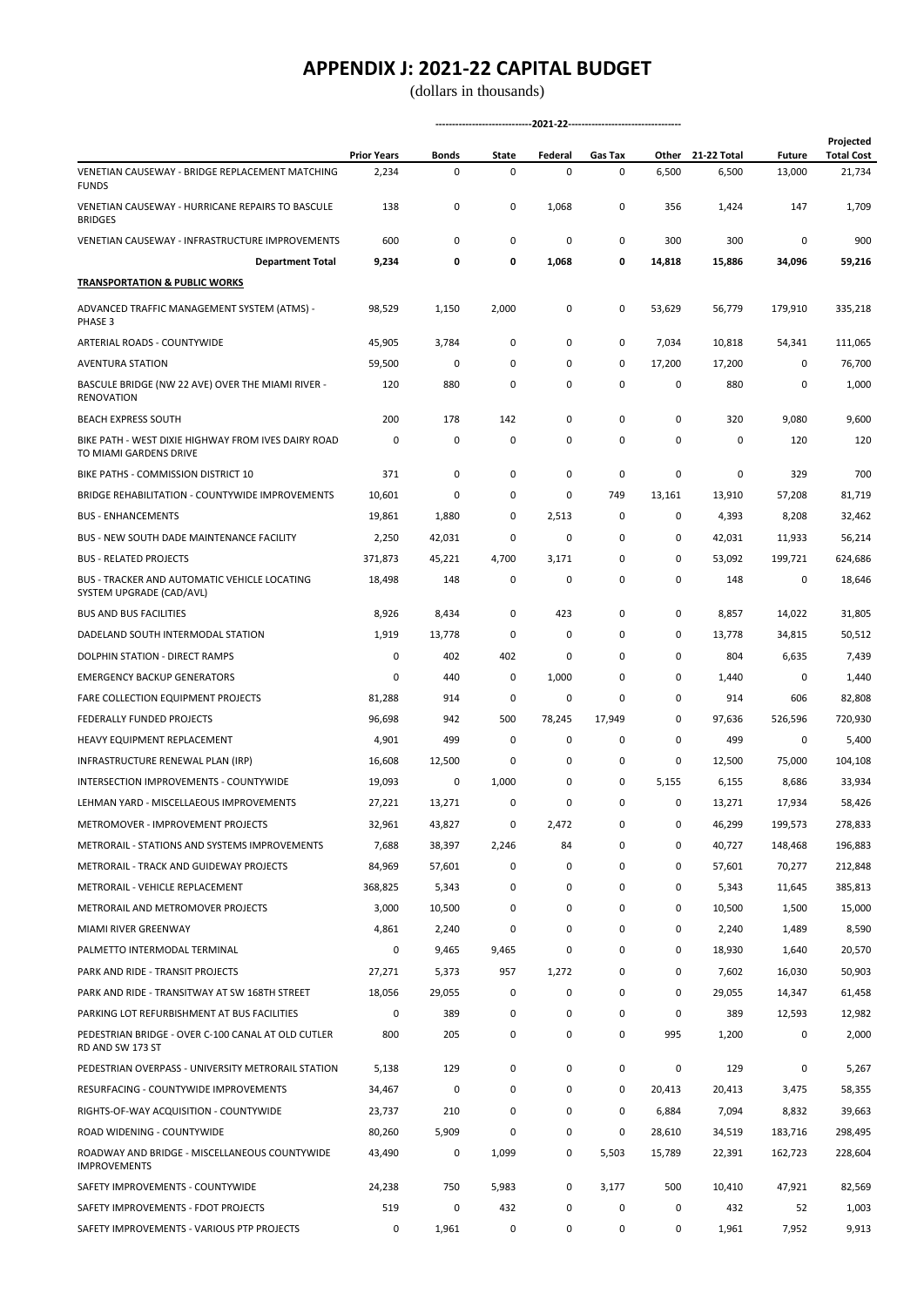(dollars in thousands)

|                                                                               | <b>Prior Years</b> | Bonds  | State | Federal | Gas Tax | Other     | 21-22 Total | <b>Future</b> | Projected<br><b>Total Cost</b> |
|-------------------------------------------------------------------------------|--------------------|--------|-------|---------|---------|-----------|-------------|---------------|--------------------------------|
| VENETIAN CAUSEWAY - BRIDGE REPLACEMENT MATCHING<br><b>FUNDS</b>               | 2,234              | 0      | 0     | 0       | 0       | 6,500     | 6,500       | 13,000        | 21,734                         |
| VENETIAN CAUSEWAY - HURRICANE REPAIRS TO BASCULE<br><b>BRIDGES</b>            | 138                | 0      | 0     | 1,068   | 0       | 356       | 1,424       | 147           | 1,709                          |
| VENETIAN CAUSEWAY - INFRASTRUCTURE IMPROVEMENTS                               | 600                | 0      | 0     | 0       | 0       | 300       | 300         | 0             | 900                            |
| <b>Department Total</b>                                                       | 9,234              | 0      | 0     | 1,068   | 0       | 14,818    | 15,886      | 34,096        | 59,216                         |
| <b>TRANSPORTATION &amp; PUBLIC WORKS</b>                                      |                    |        |       |         |         |           |             |               |                                |
| ADVANCED TRAFFIC MANAGEMENT SYSTEM (ATMS) -<br>PHASE 3                        | 98,529             | 1,150  | 2,000 | 0       | 0       | 53,629    | 56,779      | 179,910       | 335,218                        |
| ARTERIAL ROADS - COUNTYWIDE                                                   | 45,905             | 3,784  | 0     | 0       | 0       | 7,034     | 10,818      | 54,341        | 111,065                        |
| <b>AVENTURA STATION</b>                                                       | 59,500             | 0      | 0     | 0       | 0       | 17,200    | 17,200      | 0             | 76,700                         |
| BASCULE BRIDGE (NW 22 AVE) OVER THE MIAMI RIVER -<br><b>RENOVATION</b>        | 120                | 880    | 0     | 0       | 0       | 0         | 880         | 0             | 1,000                          |
| <b>BEACH EXPRESS SOUTH</b>                                                    | 200                | 178    | 142   | 0       | 0       | 0         | 320         | 9,080         | 9,600                          |
| BIKE PATH - WEST DIXIE HIGHWAY FROM IVES DAIRY ROAD<br>TO MIAMI GARDENS DRIVE | 0                  | 0      | 0     | 0       | 0       | $\pmb{0}$ | 0           | 120           | 120                            |
| BIKE PATHS - COMMISSION DISTRICT 10                                           | 371                | 0      | 0     | 0       | 0       | 0         | 0           | 329           | 700                            |
| BRIDGE REHABILITATION - COUNTYWIDE IMPROVEMENTS                               | 10,601             | 0      | 0     | 0       | 749     | 13,161    | 13,910      | 57,208        | 81,719                         |
| <b>BUS - ENHANCEMENTS</b>                                                     | 19,861             | 1,880  | 0     | 2,513   | 0       | 0         | 4,393       | 8,208         | 32,462                         |
| <b>BUS - NEW SOUTH DADE MAINTENANCE FACILITY</b>                              | 2,250              | 42,031 | 0     | 0       | 0       | 0         | 42,031      | 11,933        | 56,214                         |
| <b>BUS - RELATED PROJECTS</b>                                                 | 371,873            | 45,221 | 4,700 | 3,171   | 0       | 0         | 53,092      | 199,721       | 624,686                        |
| BUS - TRACKER AND AUTOMATIC VEHICLE LOCATING<br>SYSTEM UPGRADE (CAD/AVL)      | 18,498             | 148    | 0     | 0       | 0       | 0         | 148         | 0             | 18,646                         |
| <b>BUS AND BUS FACILITIES</b>                                                 | 8,926              | 8,434  | 0     | 423     | 0       | 0         | 8,857       | 14,022        | 31,805                         |
| DADELAND SOUTH INTERMODAL STATION                                             | 1,919              | 13,778 | 0     | 0       | 0       | 0         | 13,778      | 34,815        | 50,512                         |
| DOLPHIN STATION - DIRECT RAMPS                                                | 0                  | 402    | 402   | 0       | 0       | 0         | 804         | 6,635         | 7,439                          |
| <b>EMERGENCY BACKUP GENERATORS</b>                                            | 0                  | 440    | 0     | 1,000   | 0       | 0         | 1,440       | 0             | 1,440                          |
| <b>FARE COLLECTION EQUIPMENT PROJECTS</b>                                     | 81,288             | 914    | 0     | 0       | 0       | 0         | 914         | 606           | 82,808                         |
| FEDERALLY FUNDED PROJECTS                                                     | 96,698             | 942    | 500   | 78,245  | 17,949  | 0         | 97,636      | 526,596       | 720,930                        |
| HEAVY EQUIPMENT REPLACEMENT                                                   | 4,901              | 499    | 0     | 0       | 0       | 0         | 499         | 0             | 5,400                          |
| INFRASTRUCTURE RENEWAL PLAN (IRP)                                             | 16,608             | 12,500 | 0     | 0       | 0       | 0         | 12,500      | 75,000        | 104,108                        |
| INTERSECTION IMPROVEMENTS - COUNTYWIDE                                        | 19,093             | 0      | 1,000 | 0       | 0       | 5,155     | 6,155       | 8,686         | 33,934                         |
| LEHMAN YARD - MISCELLAEOUS IMPROVEMENTS                                       | 27,221             | 13,271 | 0     | 0       | 0       | 0         | 13,271      | 17,934        | 58,426                         |
| METROMOVER - IMPROVEMENT PROJECTS                                             | 32,961             | 43,827 | 0     | 2,472   | 0       | 0         | 46,299      | 199,573       | 278.833                        |
| METRORAIL - STATIONS AND SYSTEMS IMPROVEMENTS                                 | 7,688              | 38,397 | 2,246 | 84      | 0       | 0         | 40,727      | 148,468       | 196,883                        |
| <b>METRORAIL - TRACK AND GUIDEWAY PROJECTS</b>                                | 84,969             | 57,601 | 0     | 0       | 0       | 0         | 57,601      | 70,277        | 212,848                        |
| METRORAIL - VEHICLE REPLACEMENT                                               | 368,825            | 5,343  | 0     | 0       | 0       | 0         | 5,343       | 11,645        | 385,813                        |
| METRORAIL AND METROMOVER PROJECTS                                             | 3,000              | 10,500 | 0     | 0       | 0       | 0         | 10,500      | 1,500         | 15,000                         |
| MIAMI RIVER GREENWAY                                                          | 4,861              | 2,240  | 0     | 0       | 0       | 0         | 2,240       | 1,489         | 8,590                          |
| PALMETTO INTERMODAL TERMINAL                                                  | 0                  | 9,465  | 9,465 | 0       | 0       | 0         | 18,930      | 1,640         | 20,570                         |
| PARK AND RIDE - TRANSIT PROJECTS                                              | 27,271             | 5,373  | 957   | 1,272   | 0       | 0         | 7,602       | 16,030        | 50,903                         |
| PARK AND RIDE - TRANSITWAY AT SW 168TH STREET                                 | 18,056             | 29,055 | 0     | 0       | 0       | 0         | 29,055      | 14,347        | 61,458                         |
| PARKING LOT REFURBISHMENT AT BUS FACILITIES                                   | 0                  | 389    | 0     | 0       | 0       | 0         | 389         | 12,593        | 12,982                         |
| PEDESTRIAN BRIDGE - OVER C-100 CANAL AT OLD CUTLER<br>RD AND SW 173 ST        | 800                | 205    | 0     | 0       | 0       | 995       | 1,200       | 0             | 2,000                          |
| PEDESTRIAN OVERPASS - UNIVERSITY METRORAIL STATION                            | 5,138              | 129    | 0     | 0       | 0       | $\pmb{0}$ | 129         | 0             | 5,267                          |
| RESURFACING - COUNTYWIDE IMPROVEMENTS                                         | 34,467             | 0      | 0     | 0       | 0       | 20,413    | 20,413      | 3,475         | 58,355                         |
| RIGHTS-OF-WAY ACQUISITION - COUNTYWIDE                                        | 23,737             | 210    | 0     | 0       | 0       | 6,884     | 7,094       | 8,832         | 39,663                         |
| ROAD WIDENING - COUNTYWIDE                                                    | 80,260             | 5,909  | 0     | 0       | 0       | 28,610    | 34,519      | 183,716       | 298,495                        |
| ROADWAY AND BRIDGE - MISCELLANEOUS COUNTYWIDE<br><b>IMPROVEMENTS</b>          | 43,490             | 0      | 1,099 | 0       | 5,503   | 15,789    | 22,391      | 162,723       | 228,604                        |
| SAFETY IMPROVEMENTS - COUNTYWIDE                                              | 24,238             | 750    | 5,983 | 0       | 3,177   | 500       | 10,410      | 47,921        | 82,569                         |
| SAFETY IMPROVEMENTS - FDOT PROJECTS                                           | 519                | 0      | 432   | 0       | 0       | 0         | 432         | 52            | 1,003                          |
| SAFETY IMPROVEMENTS - VARIOUS PTP PROJECTS                                    | 0                  | 1,961  | 0     | 0       | 0       | 0         | 1,961       | 7,952         | 9,913                          |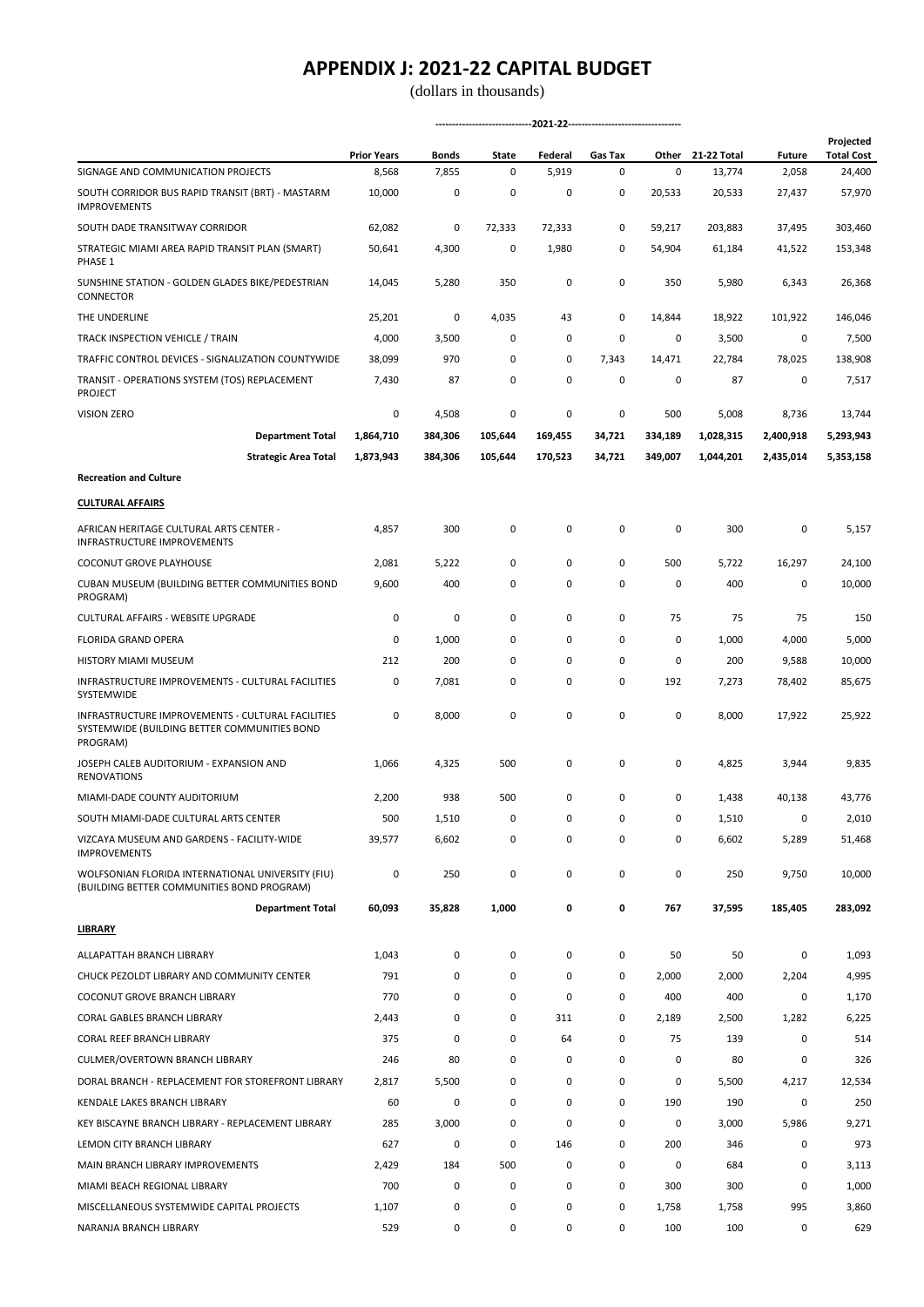|                                                                                                               | <b>Prior Years</b> | Bonds   | State   | Federal | Gas Tax | Other   | 21-22 Total | <b>Future</b> | Projected<br><b>Total Cost</b> |  |
|---------------------------------------------------------------------------------------------------------------|--------------------|---------|---------|---------|---------|---------|-------------|---------------|--------------------------------|--|
| SIGNAGE AND COMMUNICATION PROJECTS                                                                            | 8,568              | 7,855   | 0       | 5,919   | 0       | 0       | 13,774      | 2,058         | 24,400                         |  |
| SOUTH CORRIDOR BUS RAPID TRANSIT (BRT) - MASTARM<br><b>IMPROVEMENTS</b>                                       | 10,000             | 0       | 0       | 0       | 0       | 20,533  | 20,533      | 27,437        | 57,970                         |  |
| SOUTH DADE TRANSITWAY CORRIDOR                                                                                | 62,082             | 0       | 72,333  | 72,333  | 0       | 59,217  | 203,883     | 37,495        | 303,460                        |  |
| STRATEGIC MIAMI AREA RAPID TRANSIT PLAN (SMART)<br>PHASE 1                                                    | 50,641             | 4,300   | 0       | 1,980   | 0       | 54,904  | 61,184      | 41,522        | 153,348                        |  |
| SUNSHINE STATION - GOLDEN GLADES BIKE/PEDESTRIAN<br>CONNECTOR                                                 | 14,045             | 5,280   | 350     | 0       | 0       | 350     | 5,980       | 6,343         | 26,368                         |  |
| THE UNDERLINE                                                                                                 | 25,201             | 0       | 4,035   | 43      | 0       | 14,844  | 18,922      | 101,922       | 146,046                        |  |
| TRACK INSPECTION VEHICLE / TRAIN                                                                              | 4,000              | 3,500   | 0       | 0       | 0       | 0       | 3,500       | 0             | 7,500                          |  |
| TRAFFIC CONTROL DEVICES - SIGNALIZATION COUNTYWIDE                                                            | 38,099             | 970     | 0       | 0       | 7,343   | 14,471  | 22,784      | 78,025        | 138,908                        |  |
| TRANSIT - OPERATIONS SYSTEM (TOS) REPLACEMENT<br>PROJECT                                                      | 7,430              | 87      | 0       | 0       | 0       | 0       | 87          | 0             | 7,517                          |  |
| <b>VISION ZERO</b>                                                                                            | 0                  | 4,508   | 0       | 0       | 0       | 500     | 5,008       | 8,736         | 13,744                         |  |
| <b>Department Total</b>                                                                                       | 1,864,710          | 384,306 | 105,644 | 169,455 | 34,721  | 334,189 | 1,028,315   | 2,400,918     | 5,293,943                      |  |
| <b>Strategic Area Total</b>                                                                                   | 1,873,943          | 384,306 | 105,644 | 170,523 | 34,721  | 349,007 | 1,044,201   | 2,435,014     | 5,353,158                      |  |
| <b>Recreation and Culture</b>                                                                                 |                    |         |         |         |         |         |             |               |                                |  |
| <b>CULTURAL AFFAIRS</b>                                                                                       |                    |         |         |         |         |         |             |               |                                |  |
| AFRICAN HERITAGE CULTURAL ARTS CENTER -<br>INFRASTRUCTURE IMPROVEMENTS                                        | 4,857              | 300     | 0       | 0       | 0       | 0       | 300         | 0             | 5,157                          |  |
| COCONUT GROVE PLAYHOUSE                                                                                       | 2,081              | 5,222   | 0       | 0       | 0       | 500     | 5,722       | 16,297        | 24,100                         |  |
| CUBAN MUSEUM (BUILDING BETTER COMMUNITIES BOND<br>PROGRAM)                                                    | 9,600              | 400     | 0       | 0       | 0       | 0       | 400         | 0             | 10,000                         |  |
| CULTURAL AFFAIRS - WEBSITE UPGRADE                                                                            | 0                  | 0       | 0       | 0       | 0       | 75      | 75          | 75            | 150                            |  |
| FLORIDA GRAND OPERA                                                                                           | 0                  | 1,000   | 0       | 0       | 0       | 0       | 1,000       | 4,000         | 5,000                          |  |
| HISTORY MIAMI MUSEUM                                                                                          | 212                | 200     | 0       | 0       | 0       | 0       | 200         | 9,588         | 10,000                         |  |
| INFRASTRUCTURE IMPROVEMENTS - CULTURAL FACILITIES<br>SYSTEMWIDE                                               | 0                  | 7,081   | 0       | 0       | 0       | 192     | 7,273       | 78,402        | 85,675                         |  |
| INFRASTRUCTURE IMPROVEMENTS - CULTURAL FACILITIES<br>SYSTEMWIDE (BUILDING BETTER COMMUNITIES BOND<br>PROGRAM) | 0                  | 8,000   | 0       | 0       | 0       | 0       | 8,000       | 17,922        | 25,922                         |  |
| JOSEPH CALEB AUDITORIUM - EXPANSION AND<br><b>RENOVATIONS</b>                                                 | 1,066              | 4,325   | 500     | 0       | 0       | 0       | 4,825       | 3,944         | 9,835                          |  |
| MIAMI-DADE COUNTY AUDITORIUM                                                                                  | 2,200              | 938     | 500     | 0       | 0       | 0       | 1,438       | 40,138        | 43,776                         |  |
| SOUTH MIAMI-DADE CULTURAL ARTS CENTER                                                                         | 500                | 1,510   | 0       | 0       | 0       | 0       | 1,510       | 0             | 2,010                          |  |
| VIZCAYA MUSEUM AND GARDENS - FACILITY-WIDE<br><b>IMPROVEMENTS</b>                                             | 39,577             | 6,602   | 0       | 0       | 0       | 0       | 6,602       | 5,289         | 51,468                         |  |
| WOLFSONIAN FLORIDA INTERNATIONAL UNIVERSITY (FIU)<br>(BUILDING BETTER COMMUNITIES BOND PROGRAM)               | 0                  | 250     | 0       | 0       | 0       | 0       | 250         | 9,750         | 10,000                         |  |
| <b>Department Total</b>                                                                                       | 60,093             | 35,828  | 1,000   | 0       | 0       | 767     | 37,595      | 185,405       | 283,092                        |  |
| <b>LIBRARY</b>                                                                                                |                    |         |         |         |         |         |             |               |                                |  |
| ALLAPATTAH BRANCH LIBRARY                                                                                     | 1,043              | 0       | 0       | 0       | 0       | 50      | 50          | 0             | 1,093                          |  |
| CHUCK PEZOLDT LIBRARY AND COMMUNITY CENTER                                                                    | 791                | 0       | 0       | 0       | 0       | 2,000   | 2,000       | 2,204         | 4,995                          |  |
| <b>COCONUT GROVE BRANCH LIBRARY</b>                                                                           | 770                | 0       | 0       | 0       | 0       | 400     | 400         | 0             | 1,170                          |  |
| CORAL GABLES BRANCH LIBRARY                                                                                   | 2,443              | 0       | 0       | 311     | 0       | 2,189   | 2,500       | 1,282         | 6,225                          |  |
| CORAL REEF BRANCH LIBRARY                                                                                     | 375                | 0       | 0       | 64      | 0       | 75      | 139         | 0             | 514                            |  |
| CULMER/OVERTOWN BRANCH LIBRARY                                                                                | 246                | 80      | 0       | 0       | 0       | 0       | 80          | 0             | 326                            |  |
| DORAL BRANCH - REPLACEMENT FOR STOREFRONT LIBRARY                                                             | 2,817              | 5,500   | 0       | 0       | 0       | 0       | 5,500       | 4,217         | 12,534                         |  |
| KENDALE LAKES BRANCH LIBRARY                                                                                  | 60                 | 0       | 0       | 0       | 0       | 190     | 190         | 0             | 250                            |  |
| KEY BISCAYNE BRANCH LIBRARY - REPLACEMENT LIBRARY                                                             | 285                | 3,000   | 0       | 0       | 0       | 0       | 3,000       | 5,986         | 9,271                          |  |
| LEMON CITY BRANCH LIBRARY                                                                                     | 627                | 0       | 0       | 146     | 0       | 200     | 346         | 0             | 973                            |  |
| MAIN BRANCH LIBRARY IMPROVEMENTS                                                                              | 2,429              | 184     | 500     | 0       | 0       | 0       | 684         | 0             | 3,113                          |  |
| MIAMI BEACH REGIONAL LIBRARY                                                                                  | 700                | 0       | 0       | 0       | 0       | 300     | 300         | 0             | 1,000                          |  |
| MISCELLANEOUS SYSTEMWIDE CAPITAL PROJECTS                                                                     | 1,107              | 0       | 0       | 0       | 0       | 1,758   | 1,758       | 995           | 3,860                          |  |
| NARANJA BRANCH LIBRARY                                                                                        | 529                | 0       | 0       | 0       | 0       | 100     | 100         | 0             | 629                            |  |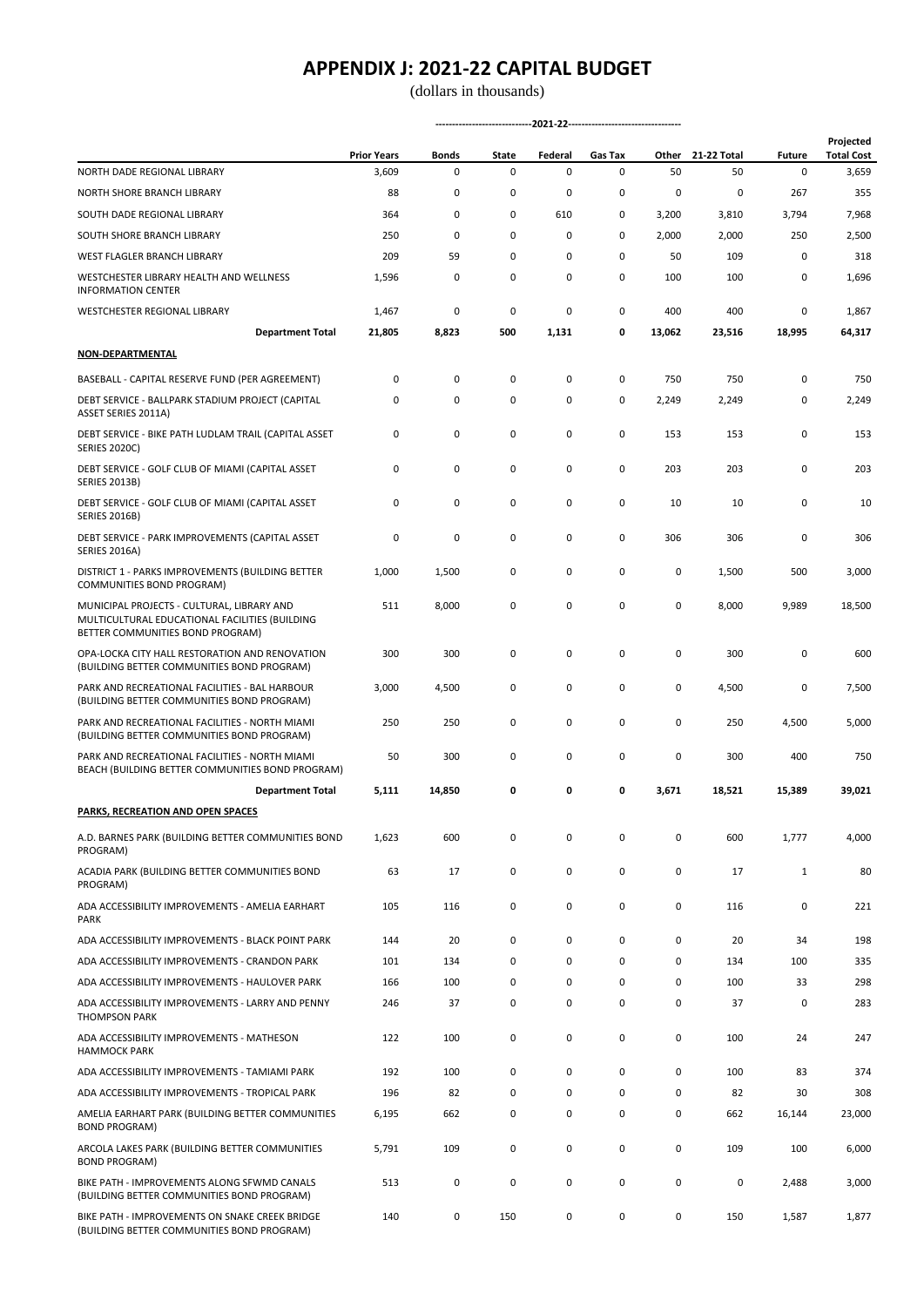(dollars in thousands)

|                                                                                                                                  | <b>Prior Years</b> | <b>Bonds</b> | State | Federal | <b>Gas Tax</b> | Other       | 21-22 Total | <b>Future</b> | Projected<br><b>Total Cost</b> |
|----------------------------------------------------------------------------------------------------------------------------------|--------------------|--------------|-------|---------|----------------|-------------|-------------|---------------|--------------------------------|
| NORTH DADE REGIONAL LIBRARY                                                                                                      | 3,609              | 0            | 0     | 0       | 0              | 50          | 50          | 0             | 3,659                          |
| NORTH SHORE BRANCH LIBRARY                                                                                                       | 88                 | 0            | 0     | 0       | 0              | 0           | 0           | 267           | 355                            |
| SOUTH DADE REGIONAL LIBRARY                                                                                                      | 364                | 0            | 0     | 610     | 0              | 3,200       | 3,810       | 3,794         | 7,968                          |
| SOUTH SHORE BRANCH LIBRARY                                                                                                       | 250                | 0            | 0     | 0       | $\Omega$       | 2,000       | 2,000       | 250           | 2,500                          |
| WEST FLAGLER BRANCH LIBRARY                                                                                                      | 209                | 59           | 0     | 0       | 0              | 50          | 109         | 0             | 318                            |
| WESTCHESTER LIBRARY HEALTH AND WELLNESS<br><b>INFORMATION CENTER</b>                                                             | 1,596              | 0            | 0     | 0       | 0              | 100         | 100         | 0             | 1,696                          |
| WESTCHESTER REGIONAL LIBRARY                                                                                                     | 1,467              | 0            | 0     | 0       | 0              | 400         | 400         | 0             | 1,867                          |
| <b>Department Total</b>                                                                                                          | 21,805             | 8,823        | 500   | 1,131   | 0              | 13,062      | 23,516      | 18,995        | 64,317                         |
| NON-DEPARTMENTAL                                                                                                                 |                    |              |       |         |                |             |             |               |                                |
| BASEBALL - CAPITAL RESERVE FUND (PER AGREEMENT)                                                                                  | 0                  | 0            | 0     | 0       | 0              | 750         | 750         | 0             | 750                            |
| DEBT SERVICE - BALLPARK STADIUM PROJECT (CAPITAL<br>ASSET SERIES 2011A)                                                          | 0                  | 0            | 0     | 0       | 0              | 2,249       | 2,249       | 0             | 2,249                          |
| DEBT SERVICE - BIKE PATH LUDLAM TRAIL (CAPITAL ASSET<br><b>SERIES 2020C)</b>                                                     | 0                  | 0            | 0     | 0       | 0              | 153         | 153         | 0             | 153                            |
| DEBT SERVICE - GOLF CLUB OF MIAMI (CAPITAL ASSET<br><b>SERIES 2013B)</b>                                                         | 0                  | 0            | 0     | 0       | 0              | 203         | 203         | 0             | 203                            |
| DEBT SERVICE - GOLF CLUB OF MIAMI (CAPITAL ASSET<br><b>SERIES 2016B)</b>                                                         | 0                  | 0            | 0     | 0       | 0              | 10          | 10          | 0             | 10                             |
| DEBT SERVICE - PARK IMPROVEMENTS (CAPITAL ASSET<br><b>SERIES 2016A)</b>                                                          | 0                  | 0            | 0     | 0       | 0              | 306         | 306         | 0             | 306                            |
| DISTRICT 1 - PARKS IMPROVEMENTS (BUILDING BETTER<br>COMMUNITIES BOND PROGRAM)                                                    | 1,000              | 1,500        | 0     | 0       | 0              | 0           | 1,500       | 500           | 3,000                          |
| MUNICIPAL PROJECTS - CULTURAL, LIBRARY AND<br>MULTICULTURAL EDUCATIONAL FACILITIES (BUILDING<br>BETTER COMMUNITIES BOND PROGRAM) | 511                | 8,000        | 0     | 0       | 0              | $\mathbf 0$ | 8,000       | 9,989         | 18,500                         |
| OPA-LOCKA CITY HALL RESTORATION AND RENOVATION<br>(BUILDING BETTER COMMUNITIES BOND PROGRAM)                                     | 300                | 300          | 0     | 0       | 0              | 0           | 300         | 0             | 600                            |
| PARK AND RECREATIONAL FACILITIES - BAL HARBOUR<br>(BUILDING BETTER COMMUNITIES BOND PROGRAM)                                     | 3,000              | 4,500        | 0     | 0       | 0              | 0           | 4,500       | 0             | 7,500                          |
| PARK AND RECREATIONAL FACILITIES - NORTH MIAMI<br>(BUILDING BETTER COMMUNITIES BOND PROGRAM)                                     | 250                | 250          | 0     | 0       | 0              | 0           | 250         | 4,500         | 5,000                          |
| PARK AND RECREATIONAL FACILITIES - NORTH MIAMI<br>BEACH (BUILDING BETTER COMMUNITIES BOND PROGRAM)                               | 50                 | 300          | 0     | 0       | 0              | 0           | 300         | 400           | 750                            |
| <b>Department Total</b>                                                                                                          | 5,111              | 14,850       | 0     | 0       | 0              | 3,671       | 18,521      | 15,389        | 39,021                         |
| PARKS, RECREATION AND OPEN SPACES                                                                                                |                    |              |       |         |                |             |             |               |                                |
| A.D. BARNES PARK (BUILDING BETTER COMMUNITIES BOND<br>PROGRAM)                                                                   | 1,623              | 600          | 0     | 0       | 0              | $\pmb{0}$   | 600         | 1,777         | 4,000                          |
| ACADIA PARK (BUILDING BETTER COMMUNITIES BOND<br>PROGRAM)                                                                        | 63                 | 17           | 0     | 0       | 0              | 0           | 17          | $\mathbf{1}$  | 80                             |
| ADA ACCESSIBILITY IMPROVEMENTS - AMELIA EARHART<br><b>PARK</b>                                                                   | 105                | 116          | 0     | 0       | 0              | 0           | 116         | 0             | 221                            |
| ADA ACCESSIBILITY IMPROVEMENTS - BLACK POINT PARK                                                                                | 144                | 20           | 0     | 0       | 0              | 0           | 20          | 34            | 198                            |
| ADA ACCESSIBILITY IMPROVEMENTS - CRANDON PARK                                                                                    | 101                | 134          | 0     | 0       | 0              | 0           | 134         | 100           | 335                            |
| ADA ACCESSIBILITY IMPROVEMENTS - HAULOVER PARK                                                                                   | 166                | 100          | 0     | 0       | 0              | 0           | 100         | 33            | 298                            |
| ADA ACCESSIBILITY IMPROVEMENTS - LARRY AND PENNY<br><b>THOMPSON PARK</b>                                                         | 246                | 37           | 0     | 0       | 0              | 0           | 37          | 0             | 283                            |
| ADA ACCESSIBILITY IMPROVEMENTS - MATHESON<br><b>HAMMOCK PARK</b>                                                                 | 122                | 100          | 0     | 0       | 0              | 0           | 100         | 24            | 247                            |
| ADA ACCESSIBILITY IMPROVEMENTS - TAMIAMI PARK                                                                                    | 192                | 100          | 0     | 0       | 0              | 0           | 100         | 83            | 374                            |
| ADA ACCESSIBILITY IMPROVEMENTS - TROPICAL PARK                                                                                   | 196                | 82           | 0     | 0       | 0              | 0           | 82          | 30            | 308                            |
| AMELIA EARHART PARK (BUILDING BETTER COMMUNITIES<br><b>BOND PROGRAM)</b>                                                         | 6,195              | 662          | 0     | 0       | 0              | 0           | 662         | 16,144        | 23,000                         |
| ARCOLA LAKES PARK (BUILDING BETTER COMMUNITIES<br><b>BOND PROGRAM)</b>                                                           | 5,791              | 109          | 0     | 0       | 0              | 0           | 109         | 100           | 6,000                          |
| BIKE PATH - IMPROVEMENTS ALONG SFWMD CANALS<br>(BUILDING BETTER COMMUNITIES BOND PROGRAM)                                        | 513                | 0            | 0     | 0       | 0              | 0           | 0           | 2,488         | 3,000                          |
| BIKE PATH - IMPROVEMENTS ON SNAKE CREEK BRIDGE<br>(BUILDING BETTER COMMUNITIES BOND PROGRAM)                                     | 140                | 0            | 150   | 0       | 0              | 0           | 150         | 1,587         | 1,877                          |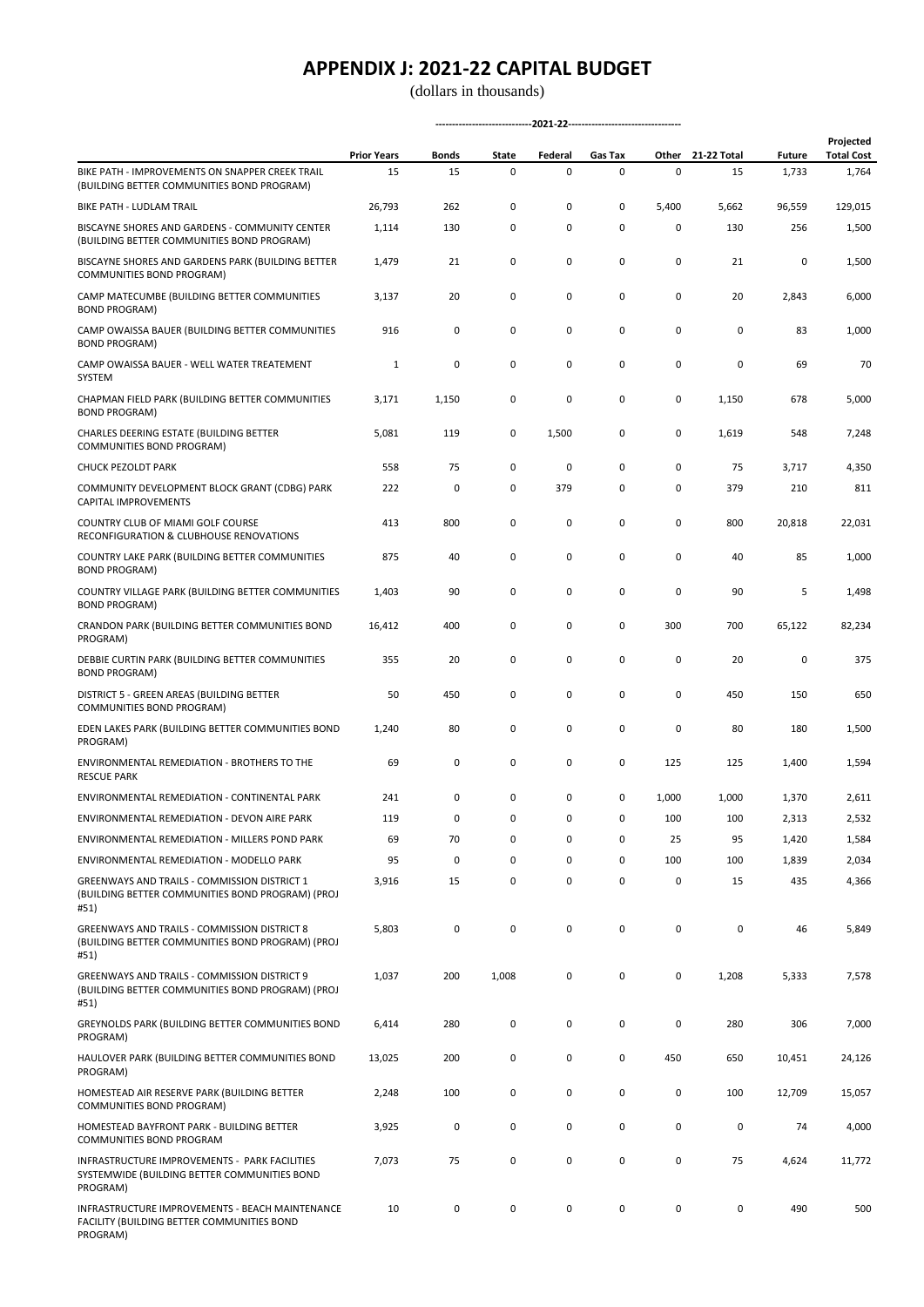(dollars in thousands)

|                                                                                                                 | <b>Prior Years</b> | Bonds       | State | Federal     | Gas Tax   |       | Other 21-22 Total | <b>Future</b> | Projected<br><b>Total Cost</b> |
|-----------------------------------------------------------------------------------------------------------------|--------------------|-------------|-------|-------------|-----------|-------|-------------------|---------------|--------------------------------|
| BIKE PATH - IMPROVEMENTS ON SNAPPER CREEK TRAIL<br>(BUILDING BETTER COMMUNITIES BOND PROGRAM)                   | 15                 | 15          | 0     | $\mathsf 0$ | 0         | 0     | 15                | 1,733         | 1,764                          |
| BIKE PATH - LUDLAM TRAIL                                                                                        | 26,793             | 262         | 0     | 0           | 0         | 5,400 | 5,662             | 96,559        | 129,015                        |
| BISCAYNE SHORES AND GARDENS - COMMUNITY CENTER<br>(BUILDING BETTER COMMUNITIES BOND PROGRAM)                    | 1,114              | 130         | 0     | 0           | 0         | 0     | 130               | 256           | 1,500                          |
| BISCAYNE SHORES AND GARDENS PARK (BUILDING BETTER<br>COMMUNITIES BOND PROGRAM)                                  | 1,479              | 21          | 0     | 0           | 0         | 0     | 21                | 0             | 1,500                          |
| CAMP MATECUMBE (BUILDING BETTER COMMUNITIES<br><b>BOND PROGRAM)</b>                                             | 3,137              | 20          | 0     | 0           | 0         | 0     | 20                | 2,843         | 6,000                          |
| CAMP OWAISSA BAUER (BUILDING BETTER COMMUNITIES<br><b>BOND PROGRAM)</b>                                         | 916                | 0           | 0     | 0           | 0         | 0     | 0                 | 83            | 1,000                          |
| CAMP OWAISSA BAUER - WELL WATER TREATEMENT<br>SYSTEM                                                            | $\mathbf 1$        | 0           | 0     | 0           | 0         | 0     | 0                 | 69            | 70                             |
| CHAPMAN FIELD PARK (BUILDING BETTER COMMUNITIES<br><b>BOND PROGRAM)</b>                                         | 3,171              | 1,150       | 0     | 0           | 0         | 0     | 1,150             | 678           | 5,000                          |
| CHARLES DEERING ESTATE (BUILDING BETTER<br>COMMUNITIES BOND PROGRAM)                                            | 5,081              | 119         | 0     | 1,500       | 0         | 0     | 1,619             | 548           | 7,248                          |
| <b>CHUCK PEZOLDT PARK</b>                                                                                       | 558                | 75          | 0     | 0           | 0         | 0     | 75                | 3,717         | 4,350                          |
| COMMUNITY DEVELOPMENT BLOCK GRANT (CDBG) PARK<br>CAPITAL IMPROVEMENTS                                           | 222                | 0           | 0     | 379         | 0         | 0     | 379               | 210           | 811                            |
| COUNTRY CLUB OF MIAMI GOLF COURSE<br>RECONFIGURATION & CLUBHOUSE RENOVATIONS                                    | 413                | 800         | 0     | 0           | 0         | 0     | 800               | 20,818        | 22,031                         |
| COUNTRY LAKE PARK (BUILDING BETTER COMMUNITIES<br><b>BOND PROGRAM)</b>                                          | 875                | 40          | 0     | 0           | 0         | 0     | 40                | 85            | 1,000                          |
| COUNTRY VILLAGE PARK (BUILDING BETTER COMMUNITIES<br><b>BOND PROGRAM)</b>                                       | 1,403              | 90          | 0     | 0           | 0         | 0     | 90                | 5             | 1,498                          |
| CRANDON PARK (BUILDING BETTER COMMUNITIES BOND<br>PROGRAM)                                                      | 16,412             | 400         | 0     | 0           | 0         | 300   | 700               | 65,122        | 82,234                         |
| DEBBIE CURTIN PARK (BUILDING BETTER COMMUNITIES<br><b>BOND PROGRAM)</b>                                         | 355                | 20          | 0     | 0           | 0         | 0     | 20                | 0             | 375                            |
| DISTRICT 5 - GREEN AREAS (BUILDING BETTER<br>COMMUNITIES BOND PROGRAM)                                          | 50                 | 450         | 0     | 0           | 0         | 0     | 450               | 150           | 650                            |
| EDEN LAKES PARK (BUILDING BETTER COMMUNITIES BOND<br>PROGRAM)                                                   | 1,240              | 80          | 0     | 0           | 0         | 0     | 80                | 180           | 1,500                          |
| ENVIRONMENTAL REMEDIATION - BROTHERS TO THE<br><b>RESCUE PARK</b>                                               | 69                 | 0           | 0     | 0           | 0         | 125   | 125               | 1,400         | 1,594                          |
| ENVIRONMENTAL REMEDIATION - CONTINENTAL PARK                                                                    | 241                | 0           | 0     | 0           | 0         | 1,000 | 1,000             | 1,370         | 2,611                          |
| ENVIRONMENTAL REMEDIATION - DEVON AIRE PARK                                                                     | 119                | 0           | 0     | 0           | 0         | 100   | 100               | 2,313         | 2,532                          |
| ENVIRONMENTAL REMEDIATION - MILLERS POND PARK                                                                   | 69                 | 70          | 0     | 0           | 0         | 25    | 95                | 1,420         | 1,584                          |
| ENVIRONMENTAL REMEDIATION - MODELLO PARK                                                                        | 95                 | $\mathsf 0$ | 0     | 0           | 0         | 100   | 100               | 1,839         | 2,034                          |
| GREENWAYS AND TRAILS - COMMISSION DISTRICT 1<br>(BUILDING BETTER COMMUNITIES BOND PROGRAM) (PROJ<br>#51)        | 3,916              | 15          | 0     | $\mathsf 0$ | $\pmb{0}$ | 0     | 15                | 435           | 4,366                          |
| <b>GREENWAYS AND TRAILS - COMMISSION DISTRICT 8</b><br>(BUILDING BETTER COMMUNITIES BOND PROGRAM) (PROJ<br>#51) | 5,803              | $\mathsf 0$ | 0     | $\mathsf 0$ | 0         | 0     | $\mathsf 0$       | 46            | 5,849                          |
| GREENWAYS AND TRAILS - COMMISSION DISTRICT 9<br>(BUILDING BETTER COMMUNITIES BOND PROGRAM) (PROJ<br>#51)        | 1,037              | 200         | 1,008 | $\mathsf 0$ | $\pmb{0}$ | 0     | 1,208             | 5,333         | 7,578                          |
| GREYNOLDS PARK (BUILDING BETTER COMMUNITIES BOND<br>PROGRAM)                                                    | 6,414              | 280         | 0     | 0           | 0         | 0     | 280               | 306           | 7,000                          |
| HAULOVER PARK (BUILDING BETTER COMMUNITIES BOND<br>PROGRAM)                                                     | 13,025             | 200         | 0     | 0           | 0         | 450   | 650               | 10,451        | 24,126                         |
| HOMESTEAD AIR RESERVE PARK (BUILDING BETTER<br>COMMUNITIES BOND PROGRAM)                                        | 2,248              | 100         | 0     | 0           | 0         | 0     | 100               | 12,709        | 15,057                         |
| HOMESTEAD BAYFRONT PARK - BUILDING BETTER<br>COMMUNITIES BOND PROGRAM                                           | 3,925              | $\pmb{0}$   | 0     | $\mathsf 0$ | 0         | 0     | $\pmb{0}$         | 74            | 4,000                          |
| INFRASTRUCTURE IMPROVEMENTS - PARK FACILITIES<br>SYSTEMWIDE (BUILDING BETTER COMMUNITIES BOND<br>PROGRAM)       | 7,073              | 75          | 0     | $\mathsf 0$ | 0         | 0     | 75                | 4,624         | 11,772                         |
| INFRASTRUCTURE IMPROVEMENTS - BEACH MAINTENANCE<br>FACILITY (BUILDING BETTER COMMUNITIES BOND<br>PROGRAM)       | 10                 | $\mathsf 0$ | 0     | $\mathsf 0$ | 0         | 0     | $\mathsf 0$       | 490           | 500                            |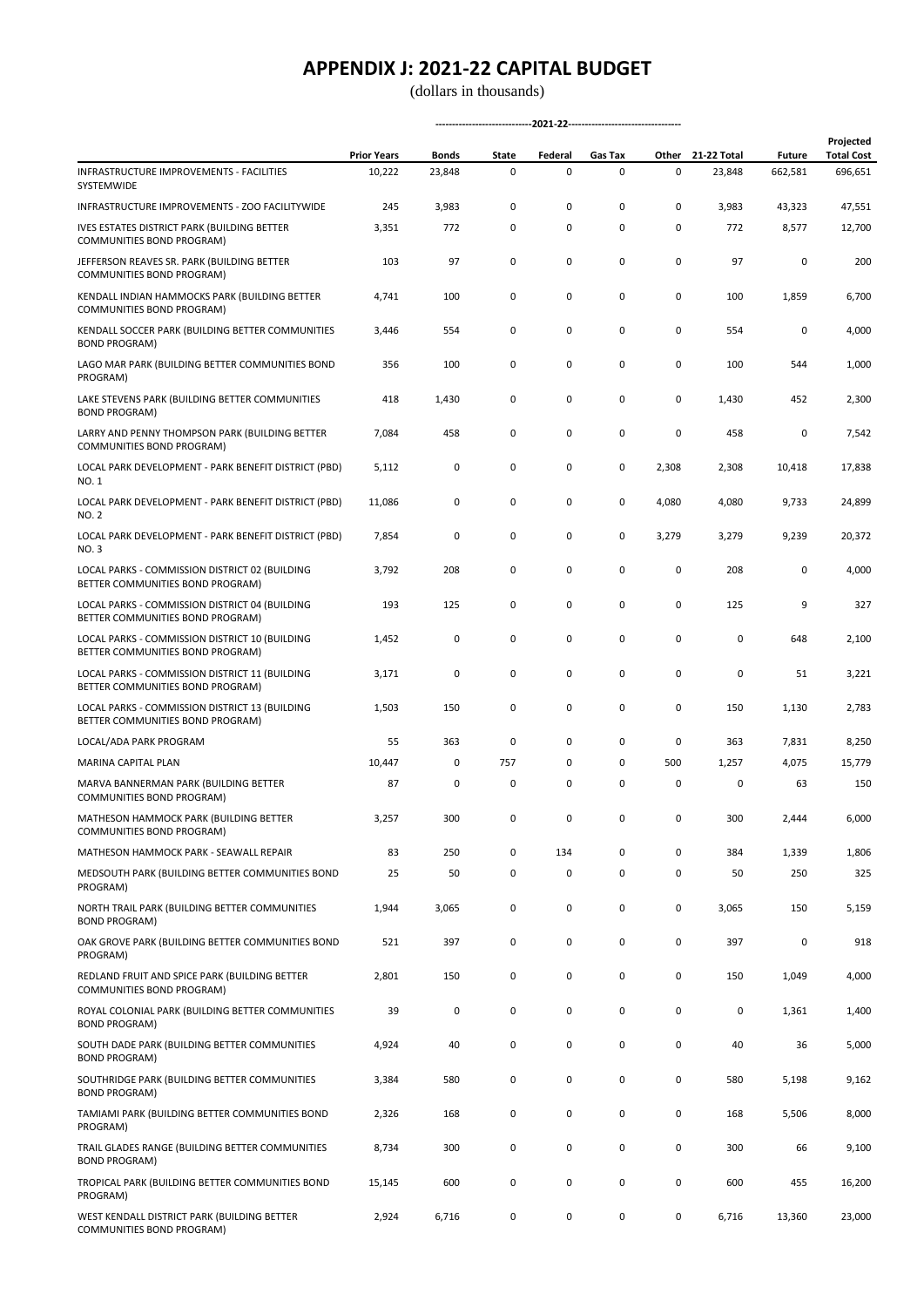|                                                                                    | <b>Prior Years</b> | Bonds  | State | Federal | Gas Tax | Other | 21-22 Total | <b>Future</b> | Projected<br><b>Total Cost</b> |
|------------------------------------------------------------------------------------|--------------------|--------|-------|---------|---------|-------|-------------|---------------|--------------------------------|
| INFRASTRUCTURE IMPROVEMENTS - FACILITIES<br>SYSTEMWIDE                             | 10,222             | 23,848 | 0     | 0       | 0       | 0     | 23,848      | 662,581       | 696,651                        |
| INFRASTRUCTURE IMPROVEMENTS - ZOO FACILITYWIDE                                     | 245                | 3,983  | 0     | 0       | 0       | 0     | 3,983       | 43,323        | 47,551                         |
| <b>IVES ESTATES DISTRICT PARK (BUILDING BETTER</b><br>COMMUNITIES BOND PROGRAM)    | 3,351              | 772    | 0     | 0       | 0       | 0     | 772         | 8,577         | 12,700                         |
| JEFFERSON REAVES SR. PARK (BUILDING BETTER<br>COMMUNITIES BOND PROGRAM)            | 103                | 97     | 0     | 0       | 0       | 0     | 97          | 0             | 200                            |
| KENDALL INDIAN HAMMOCKS PARK (BUILDING BETTER<br>COMMUNITIES BOND PROGRAM)         | 4,741              | 100    | 0     | 0       | 0       | 0     | 100         | 1,859         | 6,700                          |
| KENDALL SOCCER PARK (BUILDING BETTER COMMUNITIES<br><b>BOND PROGRAM)</b>           | 3,446              | 554    | 0     | 0       | 0       | 0     | 554         | 0             | 4,000                          |
| LAGO MAR PARK (BUILDING BETTER COMMUNITIES BOND<br>PROGRAM)                        | 356                | 100    | 0     | 0       | 0       | 0     | 100         | 544           | 1,000                          |
| LAKE STEVENS PARK (BUILDING BETTER COMMUNITIES<br><b>BOND PROGRAM)</b>             | 418                | 1,430  | 0     | 0       | 0       | 0     | 1,430       | 452           | 2,300                          |
| LARRY AND PENNY THOMPSON PARK (BUILDING BETTER<br>COMMUNITIES BOND PROGRAM)        | 7,084              | 458    | 0     | 0       | 0       | 0     | 458         | 0             | 7,542                          |
| LOCAL PARK DEVELOPMENT - PARK BENEFIT DISTRICT (PBD)<br>NO. 1                      | 5,112              | 0      | 0     | 0       | 0       | 2,308 | 2,308       | 10,418        | 17,838                         |
| LOCAL PARK DEVELOPMENT - PARK BENEFIT DISTRICT (PBD)<br>NO. 2                      | 11,086             | 0      | 0     | 0       | 0       | 4,080 | 4,080       | 9,733         | 24,899                         |
| LOCAL PARK DEVELOPMENT - PARK BENEFIT DISTRICT (PBD)<br><b>NO.3</b>                | 7,854              | 0      | 0     | 0       | 0       | 3,279 | 3,279       | 9,239         | 20,372                         |
| LOCAL PARKS - COMMISSION DISTRICT 02 (BUILDING<br>BETTER COMMUNITIES BOND PROGRAM) | 3,792              | 208    | 0     | 0       | 0       | 0     | 208         | 0             | 4,000                          |
| LOCAL PARKS - COMMISSION DISTRICT 04 (BUILDING<br>BETTER COMMUNITIES BOND PROGRAM) | 193                | 125    | 0     | 0       | 0       | 0     | 125         | 9             | 327                            |
| LOCAL PARKS - COMMISSION DISTRICT 10 (BUILDING<br>BETTER COMMUNITIES BOND PROGRAM) | 1,452              | 0      | 0     | 0       | 0       | 0     | 0           | 648           | 2,100                          |
| LOCAL PARKS - COMMISSION DISTRICT 11 (BUILDING<br>BETTER COMMUNITIES BOND PROGRAM) | 3,171              | 0      | 0     | 0       | 0       | 0     | 0           | 51            | 3,221                          |
| LOCAL PARKS - COMMISSION DISTRICT 13 (BUILDING<br>BETTER COMMUNITIES BOND PROGRAM) | 1,503              | 150    | 0     | 0       | 0       | 0     | 150         | 1,130         | 2,783                          |
| LOCAL/ADA PARK PROGRAM                                                             | 55                 | 363    | 0     | 0       | 0       | 0     | 363         | 7,831         | 8,250                          |
| MARINA CAPITAL PLAN                                                                | 10,447             | 0      | 757   | 0       | 0       | 500   | 1,257       | 4,075         | 15,779                         |
| MARVA BANNERMAN PARK (BUILDING BETTER<br>COMMUNITIES BOND PROGRAM)                 | 87                 | 0      | 0     | 0       | 0       | 0     | 0           | 63            | 150                            |
| MATHESON HAMMOCK PARK (BUILDING BETTER<br>COMMUNITIES BOND PROGRAM)                | 3,257              | 300    | 0     | 0       | 0       | 0     | 300         | 2,444         | 6,000                          |
| MATHESON HAMMOCK PARK - SEAWALL REPAIR                                             | 83                 | 250    | 0     | 134     | 0       | 0     | 384         | 1,339         | 1,806                          |
| MEDSOUTH PARK (BUILDING BETTER COMMUNITIES BOND<br>PROGRAM)                        | 25                 | 50     | 0     | 0       | 0       | 0     | 50          | 250           | 325                            |
| NORTH TRAIL PARK (BUILDING BETTER COMMUNITIES<br><b>BOND PROGRAM)</b>              | 1,944              | 3,065  | 0     | 0       | 0       | 0     | 3,065       | 150           | 5,159                          |
| OAK GROVE PARK (BUILDING BETTER COMMUNITIES BOND<br>PROGRAM)                       | 521                | 397    | 0     | 0       | 0       | 0     | 397         | 0             | 918                            |
| REDLAND FRUIT AND SPICE PARK (BUILDING BETTER<br>COMMUNITIES BOND PROGRAM)         | 2,801              | 150    | 0     | 0       | 0       | 0     | 150         | 1,049         | 4,000                          |
| ROYAL COLONIAL PARK (BUILDING BETTER COMMUNITIES<br><b>BOND PROGRAM)</b>           | 39                 | 0      | 0     | 0       | 0       | 0     | 0           | 1,361         | 1,400                          |
| SOUTH DADE PARK (BUILDING BETTER COMMUNITIES<br><b>BOND PROGRAM)</b>               | 4,924              | 40     | 0     | 0       | 0       | 0     | 40          | 36            | 5,000                          |
| SOUTHRIDGE PARK (BUILDING BETTER COMMUNITIES<br><b>BOND PROGRAM)</b>               | 3,384              | 580    | 0     | 0       | 0       | 0     | 580         | 5,198         | 9,162                          |
| TAMIAMI PARK (BUILDING BETTER COMMUNITIES BOND<br>PROGRAM)                         | 2,326              | 168    | 0     | 0       | 0       | 0     | 168         | 5,506         | 8,000                          |
| TRAIL GLADES RANGE (BUILDING BETTER COMMUNITIES<br><b>BOND PROGRAM)</b>            | 8,734              | 300    | 0     | 0       | 0       | 0     | 300         | 66            | 9,100                          |
| TROPICAL PARK (BUILDING BETTER COMMUNITIES BOND<br>PROGRAM)                        | 15,145             | 600    | 0     | 0       | 0       | 0     | 600         | 455           | 16,200                         |
| WEST KENDALL DISTRICT PARK (BUILDING BETTER<br>COMMUNITIES BOND PROGRAM)           | 2,924              | 6,716  | 0     | 0       | 0       | 0     | 6,716       | 13,360        | 23,000                         |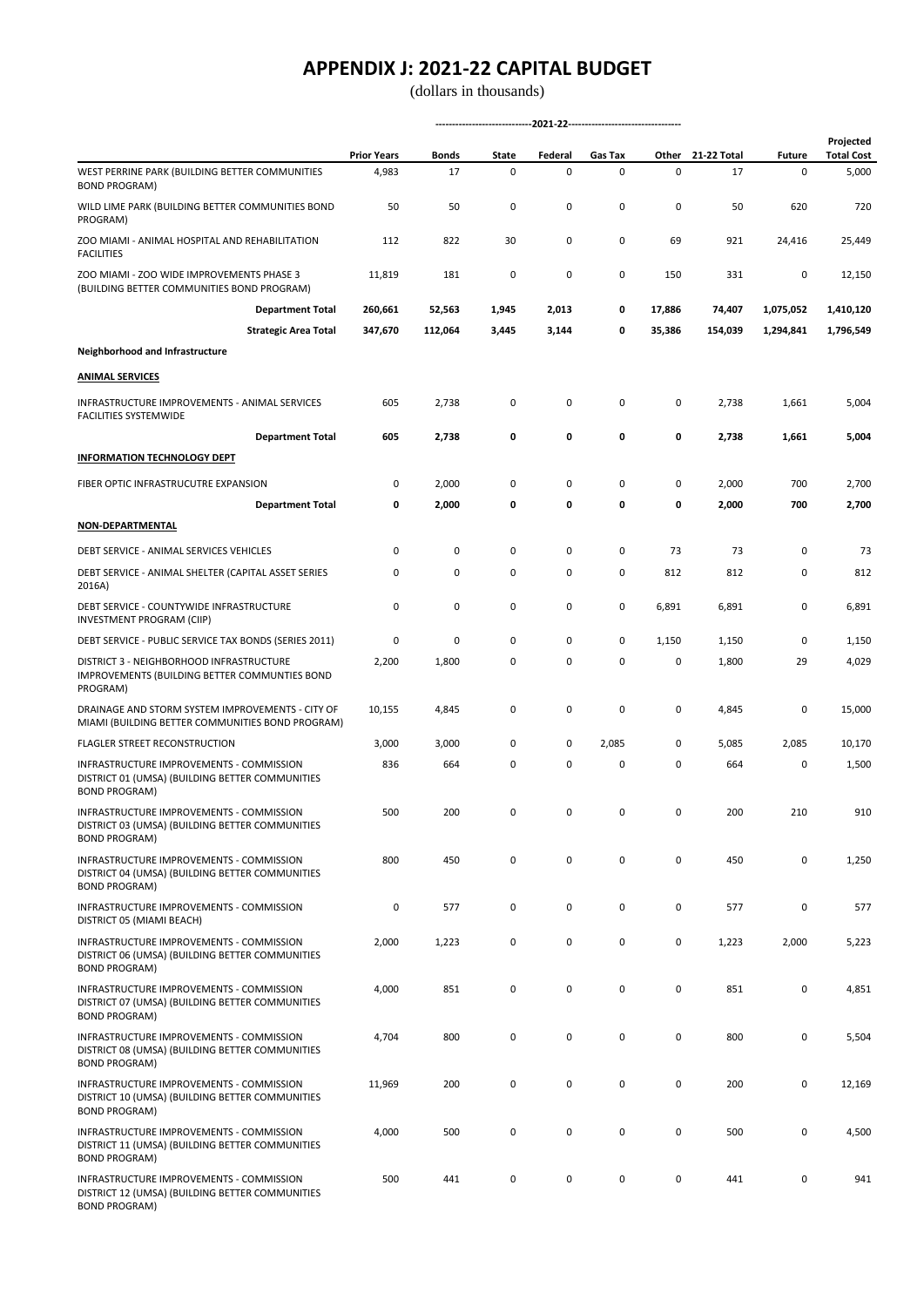(dollars in thousands)

|                                                                                                                            | <b>Prior Years</b> | Bonds   | State | Federal | Gas Tax     | Other     | 21-22 Total | <b>Future</b> | Projected<br><b>Total Cost</b> |
|----------------------------------------------------------------------------------------------------------------------------|--------------------|---------|-------|---------|-------------|-----------|-------------|---------------|--------------------------------|
| WEST PERRINE PARK (BUILDING BETTER COMMUNITIES<br><b>BOND PROGRAM)</b>                                                     | 4,983              | 17      | 0     | 0       | 0           | 0         | 17          | 0             | 5,000                          |
| WILD LIME PARK (BUILDING BETTER COMMUNITIES BOND<br>PROGRAM)                                                               | 50                 | 50      | 0     | 0       | 0           | 0         | 50          | 620           | 720                            |
| ZOO MIAMI - ANIMAL HOSPITAL AND REHABILITATION<br><b>FACILITIES</b>                                                        | 112                | 822     | 30    | 0       | 0           | 69        | 921         | 24,416        | 25,449                         |
| ZOO MIAMI - ZOO WIDE IMPROVEMENTS PHASE 3<br>(BUILDING BETTER COMMUNITIES BOND PROGRAM)                                    | 11,819             | 181     | 0     | 0       | $\mathbf 0$ | 150       | 331         | 0             | 12,150                         |
| <b>Department Total</b>                                                                                                    | 260,661            | 52,563  | 1,945 | 2,013   | 0           | 17,886    | 74,407      | 1,075,052     | 1,410,120                      |
| <b>Strategic Area Total</b>                                                                                                | 347,670            | 112,064 | 3,445 | 3,144   | 0           | 35,386    | 154,039     | 1,294,841     | 1,796,549                      |
| Neighborhood and Infrastructure                                                                                            |                    |         |       |         |             |           |             |               |                                |
| <b>ANIMAL SERVICES</b>                                                                                                     |                    |         |       |         |             |           |             |               |                                |
| INFRASTRUCTURE IMPROVEMENTS - ANIMAL SERVICES<br><b>FACILITIES SYSTEMWIDE</b>                                              | 605                | 2,738   | 0     | 0       | 0           | 0         | 2,738       | 1,661         | 5,004                          |
| <b>Department Total</b>                                                                                                    | 605                | 2,738   | 0     | 0       | 0           | 0         | 2,738       | 1,661         | 5,004                          |
| <b>INFORMATION TECHNOLOGY DEPT</b>                                                                                         |                    |         |       |         |             |           |             |               |                                |
| FIBER OPTIC INFRASTRUCUTRE EXPANSION                                                                                       | 0                  | 2,000   | 0     | 0       | 0           | 0         | 2,000       | 700           | 2,700                          |
| <b>Department Total</b>                                                                                                    | 0                  | 2,000   | 0     | 0       | 0           | 0         | 2,000       | 700           | 2,700                          |
| <b>NON-DEPARTMENTAL</b>                                                                                                    |                    |         |       |         |             |           |             |               |                                |
| DEBT SERVICE - ANIMAL SERVICES VEHICLES                                                                                    | 0                  | 0       | 0     | 0       | 0           | 73        | 73          | 0             | 73                             |
| DEBT SERVICE - ANIMAL SHELTER (CAPITAL ASSET SERIES<br>2016A)                                                              | 0                  | 0       | 0     | 0       | 0           | 812       | 812         | 0             | 812                            |
| DEBT SERVICE - COUNTYWIDE INFRASTRUCTURE<br>INVESTMENT PROGRAM (CIIP)                                                      | 0                  | 0       | 0     | 0       | $\mathbf 0$ | 6,891     | 6,891       | 0             | 6,891                          |
| DEBT SERVICE - PUBLIC SERVICE TAX BONDS (SERIES 2011)                                                                      | 0                  | 0       | 0     | 0       | 0           | 1,150     | 1,150       | 0             | 1,150                          |
| DISTRICT 3 - NEIGHBORHOOD INFRASTRUCTURE<br>IMPROVEMENTS (BUILDING BETTER COMMUNTIES BOND<br>PROGRAM)                      | 2,200              | 1,800   | 0     | 0       | 0           | 0         | 1,800       | 29            | 4,029                          |
| DRAINAGE AND STORM SYSTEM IMPROVEMENTS - CITY OF<br>MIAMI (BUILDING BETTER COMMUNITIES BOND PROGRAM)                       | 10,155             | 4,845   | 0     | 0       | 0           | 0         | 4,845       | 0             | 15,000                         |
| <b>FLAGLER STREET RECONSTRUCTION</b>                                                                                       | 3,000              | 3,000   | 0     | 0       | 2,085       | 0         | 5,085       | 2,085         | 10,170                         |
| <b>INFRASTRUCTURE IMPROVEMENTS - COMMISSION</b><br>DISTRICT 01 (UMSA) (BUILDING BETTER COMMUNITIES<br><b>BOND PROGRAM)</b> | 836                | 664     | 0     | 0       | 0           | 0         | 664         | 0             | 1,500                          |
| INFRASTRUCTURE IMPROVEMENTS - COMMISSION<br>DISTRICT 03 (UMSA) (BUILDING BETTER COMMUNITIES<br><b>BOND PROGRAM)</b>        | 500                | 200     | 0     | U       | $\Omega$    | n         | 200         | 210           | 910                            |
| INFRASTRUCTURE IMPROVEMENTS - COMMISSION<br>DISTRICT 04 (UMSA) (BUILDING BETTER COMMUNITIES<br><b>BOND PROGRAM)</b>        | 800                | 450     | 0     | 0       | $\mathsf 0$ | 0         | 450         | $\mathbf 0$   | 1,250                          |
| INFRASTRUCTURE IMPROVEMENTS - COMMISSION<br>DISTRICT 05 (MIAMI BEACH)                                                      | 0                  | 577     | 0     | 0       | 0           | 0         | 577         | 0             | 577                            |
| INFRASTRUCTURE IMPROVEMENTS - COMMISSION<br>DISTRICT 06 (UMSA) (BUILDING BETTER COMMUNITIES<br><b>BOND PROGRAM)</b>        | 2,000              | 1,223   | 0     | 0       | 0           | 0         | 1,223       | 2,000         | 5,223                          |
| INFRASTRUCTURE IMPROVEMENTS - COMMISSION<br>DISTRICT 07 (UMSA) (BUILDING BETTER COMMUNITIES<br><b>BOND PROGRAM)</b>        | 4,000              | 851     | 0     | 0       | 0           | $\pmb{0}$ | 851         | 0             | 4,851                          |
| INFRASTRUCTURE IMPROVEMENTS - COMMISSION<br>DISTRICT 08 (UMSA) (BUILDING BETTER COMMUNITIES<br><b>BOND PROGRAM)</b>        | 4,704              | 800     | 0     | 0       | 0           | 0         | 800         | 0             | 5,504                          |
| INFRASTRUCTURE IMPROVEMENTS - COMMISSION<br>DISTRICT 10 (UMSA) (BUILDING BETTER COMMUNITIES<br><b>BOND PROGRAM)</b>        | 11,969             | 200     | 0     | 0       | 0           | 0         | 200         | 0             | 12,169                         |
| INFRASTRUCTURE IMPROVEMENTS - COMMISSION<br>DISTRICT 11 (UMSA) (BUILDING BETTER COMMUNITIES<br><b>BOND PROGRAM)</b>        | 4,000              | 500     | 0     | 0       | 0           | $\pmb{0}$ | 500         | 0             | 4,500                          |
| INFRASTRUCTURE IMPROVEMENTS - COMMISSION<br>DISTRICT 12 (UMSA) (BUILDING BETTER COMMUNITIES                                | 500                | 441     | 0     | 0       | 0           | 0         | 441         | 0             | 941                            |

BOND PROGRAM)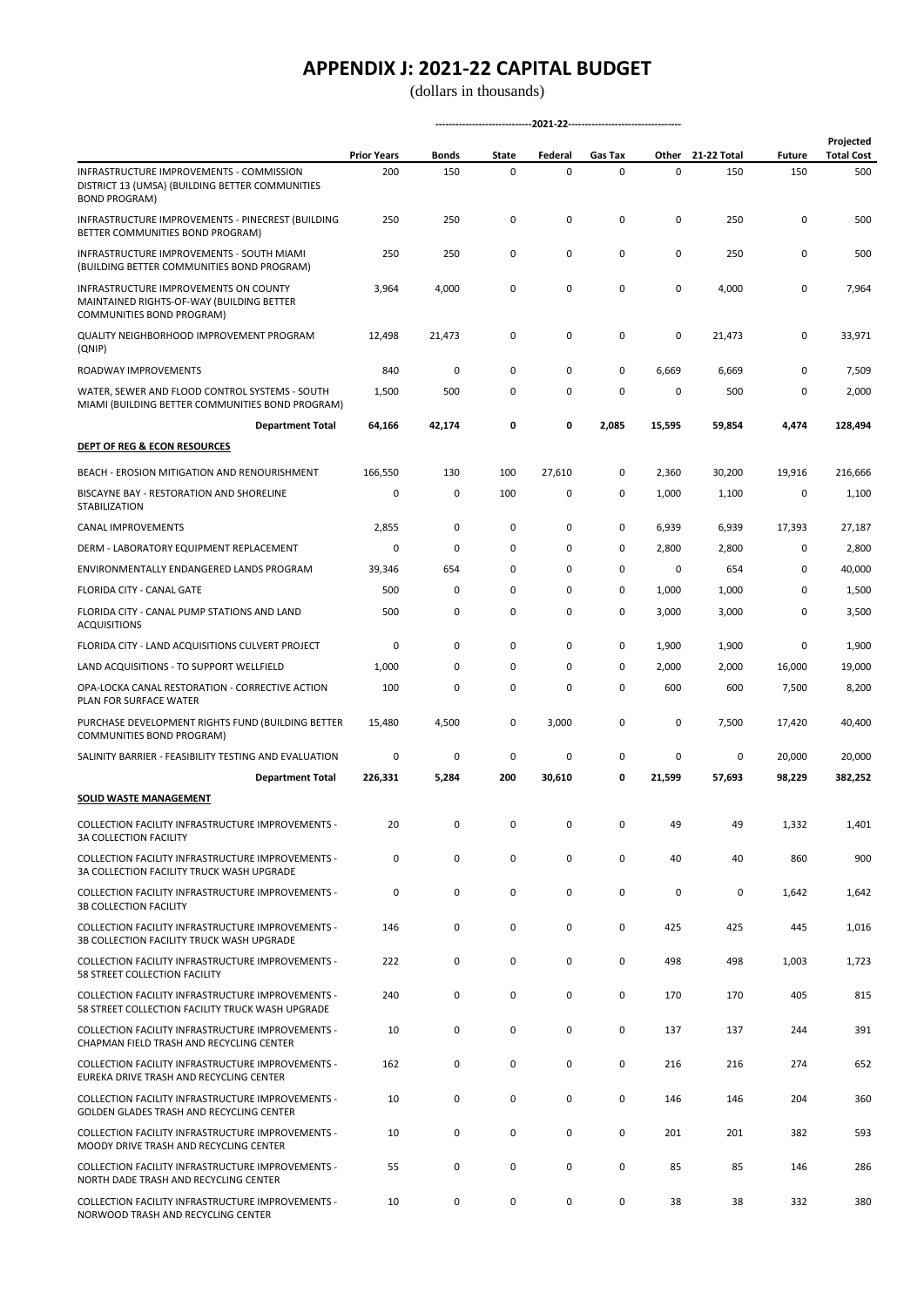|                                                                                                                     | <b>Prior Years</b> | <b>Bonds</b> | State | Federal | Gas Tax     | Other       | 21-22 Total | <b>Future</b> | Projected<br><b>Total Cost</b> |  |
|---------------------------------------------------------------------------------------------------------------------|--------------------|--------------|-------|---------|-------------|-------------|-------------|---------------|--------------------------------|--|
| INFRASTRUCTURE IMPROVEMENTS - COMMISSION<br>DISTRICT 13 (UMSA) (BUILDING BETTER COMMUNITIES<br><b>BOND PROGRAM)</b> | 200                | 150          | 0     | 0       | 0           | $\mathbf 0$ | 150         | 150           | 500                            |  |
| INFRASTRUCTURE IMPROVEMENTS - PINECREST (BUILDING<br>BETTER COMMUNITIES BOND PROGRAM)                               | 250                | 250          | 0     | 0       | 0           | 0           | 250         | 0             | 500                            |  |
| INFRASTRUCTURE IMPROVEMENTS - SOUTH MIAMI<br>(BUILDING BETTER COMMUNITIES BOND PROGRAM)                             | 250                | 250          | 0     | 0       | 0           | 0           | 250         | 0             | 500                            |  |
| INFRASTRUCTURE IMPROVEMENTS ON COUNTY<br>MAINTAINED RIGHTS-OF-WAY (BUILDING BETTER<br>COMMUNITIES BOND PROGRAM)     | 3,964              | 4,000        | 0     | 0       | 0           | $\mathbf 0$ | 4,000       | 0             | 7,964                          |  |
| QUALITY NEIGHBORHOOD IMPROVEMENT PROGRAM<br>(QNIP)                                                                  | 12,498             | 21,473       | 0     | 0       | 0           | 0           | 21,473      | 0             | 33,971                         |  |
| ROADWAY IMPROVEMENTS                                                                                                | 840                | 0            | 0     | 0       | 0           | 6,669       | 6,669       | 0             | 7,509                          |  |
| WATER, SEWER AND FLOOD CONTROL SYSTEMS - SOUTH<br>MIAMI (BUILDING BETTER COMMUNITIES BOND PROGRAM)                  | 1,500              | 500          | 0     | 0       | 0           | 0           | 500         | 0             | 2,000                          |  |
| <b>Department Total</b>                                                                                             | 64,166             | 42,174       | 0     | 0       | 2,085       | 15,595      | 59,854      | 4,474         | 128,494                        |  |
| <b>DEPT OF REG &amp; ECON RESOURCES</b>                                                                             |                    |              |       |         |             |             |             |               |                                |  |
| BEACH - EROSION MITIGATION AND RENOURISHMENT                                                                        | 166,550            | 130          | 100   | 27,610  | 0           | 2,360       | 30,200      | 19,916        | 216,666                        |  |
| BISCAYNE BAY - RESTORATION AND SHORELINE<br>STABILIZATION                                                           | 0                  | 0            | 100   | 0       | 0           | 1,000       | 1,100       | 0             | 1,100                          |  |
| CANAL IMPROVEMENTS                                                                                                  | 2,855              | 0            | 0     | 0       | 0           | 6,939       | 6,939       | 17,393        | 27,187                         |  |
| DERM - LABORATORY EQUIPMENT REPLACEMENT                                                                             | 0                  | 0            | 0     | 0       | 0           | 2,800       | 2,800       | 0             | 2,800                          |  |
| ENVIRONMENTALLY ENDANGERED LANDS PROGRAM                                                                            | 39,346             | 654          | 0     | 0       | $\mathbf 0$ | 0           | 654         | 0             | 40,000                         |  |
| FLORIDA CITY - CANAL GATE                                                                                           | 500                | 0            | 0     | 0       | 0           | 1,000       | 1,000       | 0             | 1,500                          |  |
| FLORIDA CITY - CANAL PUMP STATIONS AND LAND<br><b>ACQUISITIONS</b>                                                  | 500                | 0            | 0     | 0       | 0           | 3,000       | 3,000       | 0             | 3,500                          |  |
| FLORIDA CITY - LAND ACQUISITIONS CULVERT PROJECT                                                                    | 0                  | 0            | 0     | 0       | 0           | 1,900       | 1,900       | 0             | 1,900                          |  |
| LAND ACQUISITIONS - TO SUPPORT WELLFIELD                                                                            | 1,000              | 0            | 0     | 0       | 0           | 2,000       | 2,000       | 16,000        | 19,000                         |  |
| OPA-LOCKA CANAL RESTORATION - CORRECTIVE ACTION<br>PLAN FOR SURFACE WATER                                           | 100                | 0            | 0     | 0       | 0           | 600         | 600         | 7,500         | 8,200                          |  |
| PURCHASE DEVELOPMENT RIGHTS FUND (BUILDING BETTER<br>COMMUNITIES BOND PROGRAM)                                      | 15,480             | 4,500        | 0     | 3,000   | 0           | 0           | 7,500       | 17,420        | 40,400                         |  |
| SALINITY BARRIER - FEASIBILITY TESTING AND EVALUATION                                                               | 0                  | 0            | 0     | 0       | 0           | 0           | 0           | 20,000        | 20,000                         |  |
| <b>Department Total</b>                                                                                             | 226,331            | 5,284        | 200   | 30,610  | 0           | 21,599      | 57,693      | 98,229        | 382,252                        |  |
| SOLID WASTE MANAGEMENT                                                                                              |                    |              |       |         |             |             |             |               |                                |  |
| COLLECTION FACILITY INFRASTRUCTURE IMPROVEMENTS -<br><b>3A COLLECTION FACILITY</b>                                  | 20                 | 0            | 0     | 0       | 0           | 49          | 49          | 1,332         | 1,401                          |  |
| COLLECTION FACILITY INFRASTRUCTURE IMPROVEMENTS -<br>3A COLLECTION FACILITY TRUCK WASH UPGRADE                      | 0                  | 0            | 0     | 0       | $\mathsf 0$ | 40          | 40          | 860           | 900                            |  |
| COLLECTION FACILITY INFRASTRUCTURE IMPROVEMENTS -<br><b>3B COLLECTION FACILITY</b>                                  | 0                  | 0            | 0     | 0       | 0           | $\mathbf 0$ | $\mathsf 0$ | 1,642         | 1,642                          |  |
| COLLECTION FACILITY INFRASTRUCTURE IMPROVEMENTS -<br>3B COLLECTION FACILITY TRUCK WASH UPGRADE                      | 146                | 0            | 0     | 0       | 0           | 425         | 425         | 445           | 1,016                          |  |
| COLLECTION FACILITY INFRASTRUCTURE IMPROVEMENTS -<br>58 STREET COLLECTION FACILITY                                  | 222                | 0            | 0     | 0       | $\mathsf 0$ | 498         | 498         | 1,003         | 1,723                          |  |
| COLLECTION FACILITY INFRASTRUCTURE IMPROVEMENTS -<br>58 STREET COLLECTION FACILITY TRUCK WASH UPGRADE               | 240                | 0            | 0     | 0       | 0           | 170         | 170         | 405           | 815                            |  |
| COLLECTION FACILITY INFRASTRUCTURE IMPROVEMENTS -<br>CHAPMAN FIELD TRASH AND RECYCLING CENTER                       | 10                 | 0            | 0     | 0       | 0           | 137         | 137         | 244           | 391                            |  |
| COLLECTION FACILITY INFRASTRUCTURE IMPROVEMENTS -<br>EUREKA DRIVE TRASH AND RECYCLING CENTER                        | 162                | 0            | 0     | 0       | 0           | 216         | 216         | 274           | 652                            |  |
| COLLECTION FACILITY INFRASTRUCTURE IMPROVEMENTS -<br>GOLDEN GLADES TRASH AND RECYCLING CENTER                       | 10                 | 0            | 0     | 0       | 0           | 146         | 146         | 204           | 360                            |  |
| COLLECTION FACILITY INFRASTRUCTURE IMPROVEMENTS -<br>MOODY DRIVE TRASH AND RECYCLING CENTER                         | 10                 | 0            | 0     | 0       | $\mathsf 0$ | 201         | 201         | 382           | 593                            |  |
| COLLECTION FACILITY INFRASTRUCTURE IMPROVEMENTS -<br>NORTH DADE TRASH AND RECYCLING CENTER                          | 55                 | 0            | 0     | 0       | 0           | 85          | 85          | 146           | 286                            |  |
| COLLECTION FACILITY INFRASTRUCTURE IMPROVEMENTS -<br>NORWOOD TRASH AND RECYCLING CENTER                             | 10                 | 0            | 0     | 0       | 0           | 38          | 38          | 332           | 380                            |  |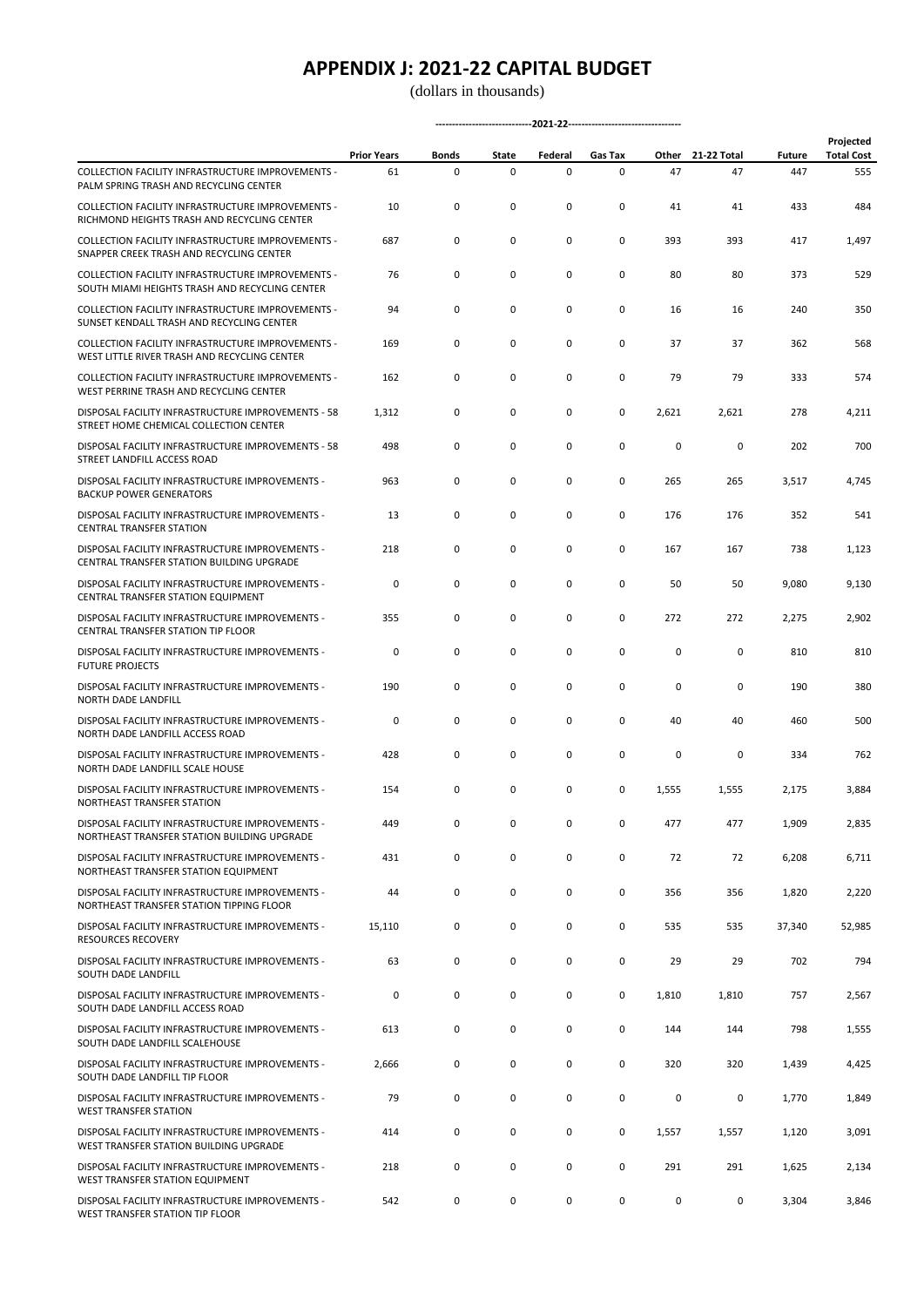|                                                                                                     | <b>Prior Years</b> | <b>Bonds</b> | State | Federal     | Gas Tax |       | Other 21-22 Total | <b>Future</b> | Projected<br><b>Total Cost</b> |  |
|-----------------------------------------------------------------------------------------------------|--------------------|--------------|-------|-------------|---------|-------|-------------------|---------------|--------------------------------|--|
| COLLECTION FACILITY INFRASTRUCTURE IMPROVEMENTS -<br>PALM SPRING TRASH AND RECYCLING CENTER         | 61                 | 0            | 0     | $\mathsf 0$ | 0       | 47    | 47                | 447           | 555                            |  |
| COLLECTION FACILITY INFRASTRUCTURE IMPROVEMENTS -<br>RICHMOND HEIGHTS TRASH AND RECYCLING CENTER    | 10                 | 0            | 0     | 0           | 0       | 41    | 41                | 433           | 484                            |  |
| COLLECTION FACILITY INFRASTRUCTURE IMPROVEMENTS -<br>SNAPPER CREEK TRASH AND RECYCLING CENTER       | 687                | 0            | 0     | 0           | 0       | 393   | 393               | 417           | 1,497                          |  |
| COLLECTION FACILITY INFRASTRUCTURE IMPROVEMENTS -<br>SOUTH MIAMI HEIGHTS TRASH AND RECYCLING CENTER | 76                 | 0            | 0     | 0           | 0       | 80    | 80                | 373           | 529                            |  |
| COLLECTION FACILITY INFRASTRUCTURE IMPROVEMENTS -<br>SUNSET KENDALL TRASH AND RECYCLING CENTER      | 94                 | 0            | 0     | 0           | 0       | 16    | 16                | 240           | 350                            |  |
| COLLECTION FACILITY INFRASTRUCTURE IMPROVEMENTS -<br>WEST LITTLE RIVER TRASH AND RECYCLING CENTER   | 169                | 0            | 0     | 0           | 0       | 37    | 37                | 362           | 568                            |  |
| COLLECTION FACILITY INFRASTRUCTURE IMPROVEMENTS -<br>WEST PERRINE TRASH AND RECYCLING CENTER        | 162                | 0            | 0     | 0           | 0       | 79    | 79                | 333           | 574                            |  |
| DISPOSAL FACILITY INFRASTRUCTURE IMPROVEMENTS - 58<br>STREET HOME CHEMICAL COLLECTION CENTER        | 1,312              | 0            | 0     | 0           | 0       | 2,621 | 2,621             | 278           | 4,211                          |  |
| DISPOSAL FACILITY INFRASTRUCTURE IMPROVEMENTS - 58<br>STREET LANDFILL ACCESS ROAD                   | 498                | 0            | 0     | 0           | 0       | 0     | $\mathsf 0$       | 202           | 700                            |  |
| DISPOSAL FACILITY INFRASTRUCTURE IMPROVEMENTS -<br><b>BACKUP POWER GENERATORS</b>                   | 963                | 0            | 0     | 0           | 0       | 265   | 265               | 3,517         | 4,745                          |  |
| DISPOSAL FACILITY INFRASTRUCTURE IMPROVEMENTS -<br><b>CENTRAL TRANSFER STATION</b>                  | 13                 | 0            | 0     | 0           | 0       | 176   | 176               | 352           | 541                            |  |
| DISPOSAL FACILITY INFRASTRUCTURE IMPROVEMENTS -<br>CENTRAL TRANSFER STATION BUILDING UPGRADE        | 218                | 0            | 0     | 0           | 0       | 167   | 167               | 738           | 1,123                          |  |
| DISPOSAL FACILITY INFRASTRUCTURE IMPROVEMENTS -<br>CENTRAL TRANSFER STATION EQUIPMENT               | 0                  | 0            | 0     | 0           | 0       | 50    | 50                | 9,080         | 9,130                          |  |
| DISPOSAL FACILITY INFRASTRUCTURE IMPROVEMENTS -<br>CENTRAL TRANSFER STATION TIP FLOOR               | 355                | 0            | 0     | 0           | 0       | 272   | 272               | 2,275         | 2,902                          |  |
| DISPOSAL FACILITY INFRASTRUCTURE IMPROVEMENTS -<br><b>FUTURE PROJECTS</b>                           | 0                  | 0            | 0     | 0           | 0       | 0     | 0                 | 810           | 810                            |  |
| DISPOSAL FACILITY INFRASTRUCTURE IMPROVEMENTS -<br>NORTH DADE LANDFILL                              | 190                | 0            | 0     | 0           | 0       | 0     | 0                 | 190           | 380                            |  |
| DISPOSAL FACILITY INFRASTRUCTURE IMPROVEMENTS -<br>NORTH DADE LANDFILL ACCESS ROAD                  | 0                  | 0            | 0     | 0           | 0       | 40    | 40                | 460           | 500                            |  |
| DISPOSAL FACILITY INFRASTRUCTURE IMPROVEMENTS -<br>NORTH DADE LANDFILL SCALE HOUSE                  | 428                | 0            | 0     | 0           | 0       | 0     | 0                 | 334           | 762                            |  |
| DISPOSAL FACILITY INFRASTRUCTURE IMPROVEMENTS -<br>NORTHEAST TRANSFER STATION                       | 154                | 0            | 0     | 0           | 0       | 1,555 | 1,555             | 2,175         | 3,884                          |  |
| DISPOSAL FACILITY INFRASTRUCTURE IMPROVEMENTS -<br>NORTHEAST TRANSFER STATION BUILDING UPGRADE      | 449                | 0            | 0     | $\mathsf 0$ | 0       | 477   | 477               | 1,909         | 2,835                          |  |
| DISPOSAL FACILITY INFRASTRUCTURE IMPROVEMENTS -<br>NORTHEAST TRANSFER STATION EQUIPMENT             | 431                | $\mathsf 0$  | 0     | 0           | 0       | 72    | 72                | 6,208         | 6,711                          |  |
| DISPOSAL FACILITY INFRASTRUCTURE IMPROVEMENTS -<br>NORTHEAST TRANSFER STATION TIPPING FLOOR         | 44                 | $\mathsf 0$  | 0     | 0           | 0       | 356   | 356               | 1,820         | 2,220                          |  |
| DISPOSAL FACILITY INFRASTRUCTURE IMPROVEMENTS -<br><b>RESOURCES RECOVERY</b>                        | 15,110             | 0            | 0     | 0           | 0       | 535   | 535               | 37,340        | 52,985                         |  |
| DISPOSAL FACILITY INFRASTRUCTURE IMPROVEMENTS -<br>SOUTH DADE LANDFILL                              | 63                 | $\mathsf 0$  | 0     | $\mathsf 0$ | 0       | 29    | 29                | 702           | 794                            |  |
| DISPOSAL FACILITY INFRASTRUCTURE IMPROVEMENTS -<br>SOUTH DADE LANDFILL ACCESS ROAD                  | 0                  | $\mathsf 0$  | 0     | 0           | 0       | 1,810 | 1,810             | 757           | 2,567                          |  |
| DISPOSAL FACILITY INFRASTRUCTURE IMPROVEMENTS -<br>SOUTH DADE LANDFILL SCALEHOUSE                   | 613                | 0            | 0     | 0           | 0       | 144   | 144               | 798           | 1,555                          |  |
| DISPOSAL FACILITY INFRASTRUCTURE IMPROVEMENTS -<br>SOUTH DADE LANDFILL TIP FLOOR                    | 2,666              | 0            | 0     | $\mathsf 0$ | 0       | 320   | 320               | 1,439         | 4,425                          |  |
| DISPOSAL FACILITY INFRASTRUCTURE IMPROVEMENTS -<br><b>WEST TRANSFER STATION</b>                     | 79                 | 0            | 0     | 0           | 0       | 0     | 0                 | 1,770         | 1,849                          |  |
| DISPOSAL FACILITY INFRASTRUCTURE IMPROVEMENTS -<br>WEST TRANSFER STATION BUILDING UPGRADE           | 414                | $\mathsf 0$  | 0     | 0           | 0       | 1,557 | 1,557             | 1,120         | 3,091                          |  |
| DISPOSAL FACILITY INFRASTRUCTURE IMPROVEMENTS -<br>WEST TRANSFER STATION EQUIPMENT                  | 218                | 0            | 0     | 0           | 0       | 291   | 291               | 1,625         | 2,134                          |  |
| DISPOSAL FACILITY INFRASTRUCTURE IMPROVEMENTS -<br>WEST TRANSFER STATION TIP FLOOR                  | 542                | 0            | 0     | 0           | 0       | 0     | 0                 | 3,304         | 3,846                          |  |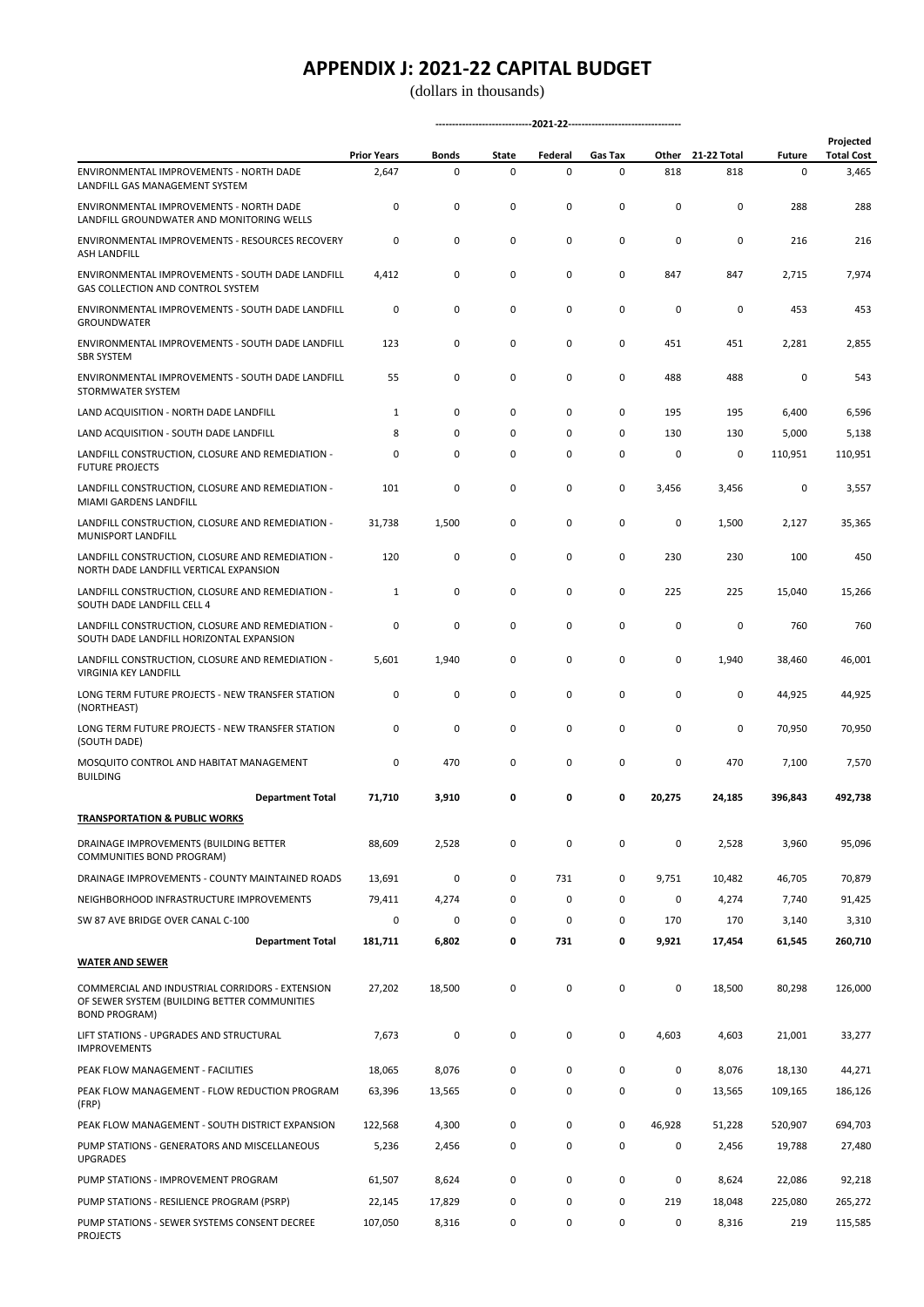(dollars in thousands)

|                                                                                                                         | <b>Prior Years</b> | Bonds       | State | Federal     | Gas Tax | Other     | 21-22 Total | <b>Future</b> | Projected<br><b>Total Cost</b> |
|-------------------------------------------------------------------------------------------------------------------------|--------------------|-------------|-------|-------------|---------|-----------|-------------|---------------|--------------------------------|
| ENVIRONMENTAL IMPROVEMENTS - NORTH DADE<br>LANDFILL GAS MANAGEMENT SYSTEM                                               | 2,647              | $\mathsf 0$ | 0     | $\mathsf 0$ | 0       | 818       | 818         | 0             | 3,465                          |
| ENVIRONMENTAL IMPROVEMENTS - NORTH DADE<br>LANDFILL GROUNDWATER AND MONITORING WELLS                                    | 0                  | 0           | 0     | 0           | 0       | 0         | 0           | 288           | 288                            |
| <b>ENVIRONMENTAL IMPROVEMENTS - RESOURCES RECOVERY</b><br><b>ASH LANDFILL</b>                                           | 0                  | 0           | 0     | 0           | 0       | 0         | 0           | 216           | 216                            |
| ENVIRONMENTAL IMPROVEMENTS - SOUTH DADE LANDFILL<br>GAS COLLECTION AND CONTROL SYSTEM                                   | 4,412              | 0           | 0     | 0           | 0       | 847       | 847         | 2,715         | 7,974                          |
| ENVIRONMENTAL IMPROVEMENTS - SOUTH DADE LANDFILL<br><b>GROUNDWATER</b>                                                  | 0                  | 0           | 0     | 0           | 0       | 0         | 0           | 453           | 453                            |
| ENVIRONMENTAL IMPROVEMENTS - SOUTH DADE LANDFILL<br><b>SBR SYSTEM</b>                                                   | 123                | 0           | 0     | 0           | 0       | 451       | 451         | 2,281         | 2,855                          |
| ENVIRONMENTAL IMPROVEMENTS - SOUTH DADE LANDFILL<br>STORMWATER SYSTEM                                                   | 55                 | 0           | 0     | 0           | 0       | 488       | 488         | 0             | 543                            |
| LAND ACQUISITION - NORTH DADE LANDFILL                                                                                  | 1                  | 0           | 0     | 0           | 0       | 195       | 195         | 6,400         | 6,596                          |
| LAND ACQUISITION - SOUTH DADE LANDFILL                                                                                  | 8                  | 0           | 0     | 0           | 0       | 130       | 130         | 5,000         | 5,138                          |
| LANDFILL CONSTRUCTION, CLOSURE AND REMEDIATION -<br><b>FUTURE PROJECTS</b>                                              | 0                  | 0           | 0     | 0           | 0       | 0         | 0           | 110,951       | 110,951                        |
| LANDFILL CONSTRUCTION, CLOSURE AND REMEDIATION -<br>MIAMI GARDENS LANDFILL                                              | 101                | 0           | 0     | 0           | 0       | 3,456     | 3,456       | 0             | 3,557                          |
| LANDFILL CONSTRUCTION, CLOSURE AND REMEDIATION -<br>MUNISPORT LANDFILL                                                  | 31,738             | 1,500       | 0     | 0           | 0       | 0         | 1,500       | 2,127         | 35,365                         |
| LANDFILL CONSTRUCTION, CLOSURE AND REMEDIATION -<br>NORTH DADE LANDFILL VERTICAL EXPANSION                              | 120                | 0           | 0     | 0           | 0       | 230       | 230         | 100           | 450                            |
| LANDFILL CONSTRUCTION, CLOSURE AND REMEDIATION -<br>SOUTH DADE LANDFILL CELL 4                                          | 1                  | 0           | 0     | 0           | 0       | 225       | 225         | 15,040        | 15,266                         |
| LANDFILL CONSTRUCTION, CLOSURE AND REMEDIATION -<br>SOUTH DADE LANDFILL HORIZONTAL EXPANSION                            | 0                  | 0           | 0     | 0           | 0       | 0         | 0           | 760           | 760                            |
| LANDFILL CONSTRUCTION, CLOSURE AND REMEDIATION -<br>VIRGINIA KEY LANDFILL                                               | 5,601              | 1,940       | 0     | 0           | 0       | 0         | 1,940       | 38,460        | 46,001                         |
| LONG TERM FUTURE PROJECTS - NEW TRANSFER STATION<br>(NORTHEAST)                                                         | 0                  | 0           | 0     | 0           | 0       | 0         | 0           | 44,925        | 44,925                         |
| LONG TERM FUTURE PROJECTS - NEW TRANSFER STATION<br>(SOUTH DADE)                                                        | 0                  | 0           | 0     | 0           | 0       | 0         | 0           | 70,950        | 70,950                         |
| MOSQUITO CONTROL AND HABITAT MANAGEMENT<br><b>BUILDING</b>                                                              | 0                  | 470         | 0     | 0           | 0       | 0         | 470         | 7,100         | 7,570                          |
| <b>Department Total</b>                                                                                                 | 71,710             | 3,910       | 0     | 0           | 0       | 20,275    | 24,185      | 396,843       | 492.738                        |
| <b>TRANSPORTATION &amp; PUBLIC WORKS</b>                                                                                |                    |             |       |             |         |           |             |               |                                |
| DRAINAGE IMPROVEMENTS (BUILDING BETTER<br>COMMUNITIES BOND PROGRAM)                                                     | 88,609             | 2,528       | 0     | $\mathsf 0$ | 0       | 0         | 2,528       | 3,960         | 95,096                         |
| DRAINAGE IMPROVEMENTS - COUNTY MAINTAINED ROADS                                                                         | 13,691             | 0           | 0     | 731         | 0       | 9,751     | 10,482      | 46,705        | 70,879                         |
| NEIGHBORHOOD INFRASTRUCTURE IMPROVEMENTS                                                                                | 79,411             | 4,274       | 0     | 0           | 0       | 0         | 4,274       | 7,740         | 91,425                         |
| SW 87 AVE BRIDGE OVER CANAL C-100                                                                                       | 0                  | 0           | 0     | 0           | 0       | 170       | 170         | 3,140         | 3,310                          |
| <b>Department Total</b>                                                                                                 | 181,711            | 6,802       | 0     | 731         | 0       | 9,921     | 17,454      | 61,545        | 260,710                        |
| <b>WATER AND SEWER</b>                                                                                                  |                    |             |       |             |         |           |             |               |                                |
| COMMERCIAL AND INDUSTRIAL CORRIDORS - EXTENSION<br>OF SEWER SYSTEM (BUILDING BETTER COMMUNITIES<br><b>BOND PROGRAM)</b> | 27,202             | 18,500      | 0     | $\mathsf 0$ | 0       | 0         | 18,500      | 80,298        | 126,000                        |
| LIFT STATIONS - UPGRADES AND STRUCTURAL<br><b>IMPROVEMENTS</b>                                                          | 7,673              | 0           | 0     | 0           | 0       | 4,603     | 4,603       | 21,001        | 33,277                         |
| PEAK FLOW MANAGEMENT - FACILITIES                                                                                       | 18,065             | 8,076       | 0     | $\mathsf 0$ | 0       | $\pmb{0}$ | 8,076       | 18,130        | 44,271                         |
| PEAK FLOW MANAGEMENT - FLOW REDUCTION PROGRAM<br>(FRP)                                                                  | 63,396             | 13,565      | 0     | 0           | 0       | 0         | 13,565      | 109,165       | 186,126                        |
| PEAK FLOW MANAGEMENT - SOUTH DISTRICT EXPANSION                                                                         | 122,568            | 4,300       | 0     | $\mathsf 0$ | 0       | 46,928    | 51,228      | 520,907       | 694,703                        |
| PUMP STATIONS - GENERATORS AND MISCELLANEOUS<br><b>UPGRADES</b>                                                         | 5,236              | 2,456       | 0     | 0           | 0       | 0         | 2,456       | 19,788        | 27,480                         |
| PUMP STATIONS - IMPROVEMENT PROGRAM                                                                                     | 61,507             | 8,624       | 0     | 0           | 0       | $\pmb{0}$ | 8,624       | 22,086        | 92,218                         |
| PUMP STATIONS - RESILIENCE PROGRAM (PSRP)                                                                               | 22,145             | 17,829      | 0     | 0           | 0       | 219       | 18,048      | 225,080       | 265,272                        |
| PUMP STATIONS - SEWER SYSTEMS CONSENT DECREE<br><b>PROJECTS</b>                                                         | 107,050            | 8,316       | 0     | 0           | 0       | 0         | 8,316       | 219           | 115,585                        |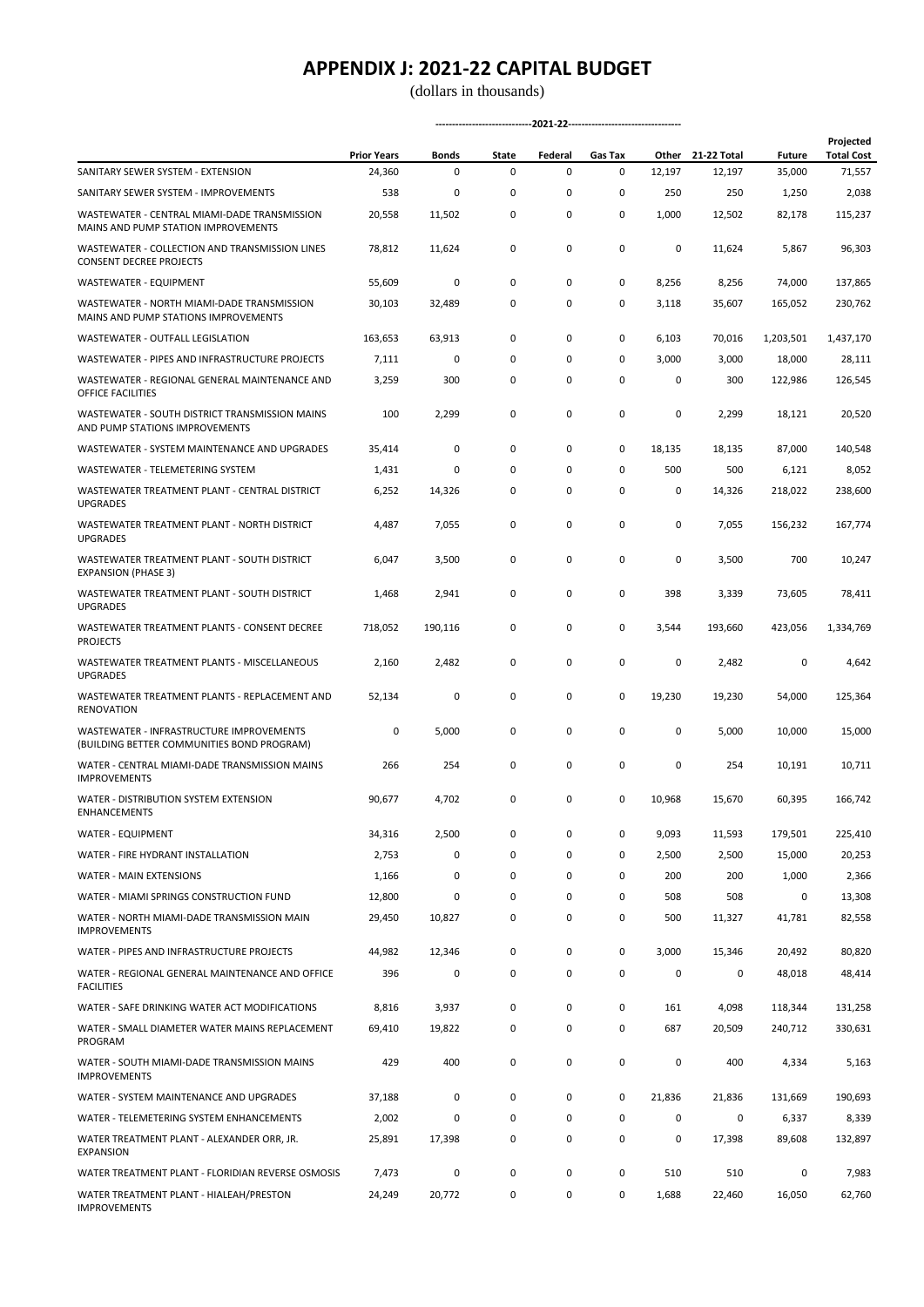(dollars in thousands)

|                                                                                        | <b>Prior Years</b> | Bonds   | State       | Federal     | Gas Tax     |        | Other 21-22 Total | <b>Future</b> | Projected<br><b>Total Cost</b> |
|----------------------------------------------------------------------------------------|--------------------|---------|-------------|-------------|-------------|--------|-------------------|---------------|--------------------------------|
| SANITARY SEWER SYSTEM - EXTENSION                                                      | 24,360             | 0       | 0           | $\mathsf 0$ | 0           | 12,197 | 12,197            | 35,000        | 71,557                         |
| SANITARY SEWER SYSTEM - IMPROVEMENTS                                                   | 538                | 0       | 0           | 0           | 0           | 250    | 250               | 1,250         | 2,038                          |
| WASTEWATER - CENTRAL MIAMI-DADE TRANSMISSION<br>MAINS AND PUMP STATION IMPROVEMENTS    | 20,558             | 11,502  | 0           | 0           | 0           | 1,000  | 12,502            | 82,178        | 115,237                        |
| WASTEWATER - COLLECTION AND TRANSMISSION LINES<br><b>CONSENT DECREE PROJECTS</b>       | 78,812             | 11,624  | 0           | 0           | 0           | 0      | 11,624            | 5,867         | 96,303                         |
| WASTEWATER - EQUIPMENT                                                                 | 55,609             | 0       | 0           | 0           | 0           | 8,256  | 8,256             | 74,000        | 137,865                        |
| WASTEWATER - NORTH MIAMI-DADE TRANSMISSION<br>MAINS AND PUMP STATIONS IMPROVEMENTS     | 30,103             | 32,489  | 0           | 0           | 0           | 3,118  | 35,607            | 165,052       | 230,762                        |
| <b>WASTEWATER - OUTFALL LEGISLATION</b>                                                | 163,653            | 63,913  | 0           | 0           | 0           | 6,103  | 70,016            | 1,203,501     | 1,437,170                      |
| WASTEWATER - PIPES AND INFRASTRUCTURE PROJECTS                                         | 7,111              | 0       | 0           | 0           | 0           | 3,000  | 3,000             | 18,000        | 28,111                         |
| WASTEWATER - REGIONAL GENERAL MAINTENANCE AND<br>OFFICE FACILITIES                     | 3,259              | 300     | 0           | 0           | 0           | 0      | 300               | 122,986       | 126,545                        |
| WASTEWATER - SOUTH DISTRICT TRANSMISSION MAINS<br>AND PUMP STATIONS IMPROVEMENTS       | 100                | 2,299   | 0           | 0           | 0           | 0      | 2,299             | 18,121        | 20,520                         |
| WASTEWATER - SYSTEM MAINTENANCE AND UPGRADES                                           | 35,414             | 0       | 0           | 0           | 0           | 18,135 | 18,135            | 87,000        | 140,548                        |
| WASTEWATER - TELEMETERING SYSTEM                                                       | 1,431              | 0       | $\mathbf 0$ | 0           | 0           | 500    | 500               | 6,121         | 8,052                          |
| WASTEWATER TREATMENT PLANT - CENTRAL DISTRICT<br><b>UPGRADES</b>                       | 6,252              | 14,326  | 0           | 0           | 0           | 0      | 14,326            | 218,022       | 238,600                        |
| WASTEWATER TREATMENT PLANT - NORTH DISTRICT<br><b>UPGRADES</b>                         | 4,487              | 7,055   | 0           | 0           | 0           | 0      | 7,055             | 156,232       | 167,774                        |
| WASTEWATER TREATMENT PLANT - SOUTH DISTRICT<br><b>EXPANSION (PHASE 3)</b>              | 6,047              | 3,500   | 0           | 0           | 0           | 0      | 3,500             | 700           | 10,247                         |
| WASTEWATER TREATMENT PLANT - SOUTH DISTRICT<br><b>UPGRADES</b>                         | 1,468              | 2,941   | 0           | 0           | 0           | 398    | 3,339             | 73,605        | 78,411                         |
| WASTEWATER TREATMENT PLANTS - CONSENT DECREE<br><b>PROJECTS</b>                        | 718,052            | 190,116 | 0           | 0           | 0           | 3,544  | 193,660           | 423,056       | 1,334,769                      |
| WASTEWATER TREATMENT PLANTS - MISCELLANEOUS<br><b>UPGRADES</b>                         | 2,160              | 2,482   | 0           | 0           | 0           | 0      | 2,482             | 0             | 4,642                          |
| WASTEWATER TREATMENT PLANTS - REPLACEMENT AND<br>RENOVATION                            | 52,134             | 0       | 0           | 0           | 0           | 19,230 | 19,230            | 54,000        | 125,364                        |
| WASTEWATER - INFRASTRUCTURE IMPROVEMENTS<br>(BUILDING BETTER COMMUNITIES BOND PROGRAM) | 0                  | 5,000   | 0           | 0           | $\mathsf 0$ | 0      | 5,000             | 10,000        | 15,000                         |
| WATER - CENTRAL MIAMI-DADE TRANSMISSION MAINS<br><b>IMPROVEMENTS</b>                   | 266                | 254     | 0           | 0           | 0           | 0      | 254               | 10,191        | 10,711                         |
| WATER - DISTRIBUTION SYSTEM EXTENSION<br><b>ENHANCEMENTS</b>                           | 90,677             | 4,702   | 0           | 0           | 0           | 10,968 | 15,670            | 60,395        | 166,742                        |
| WATER - EQUIPMENT                                                                      | 34,316             | 2,500   | 0           | 0           | 0           | 9,093  | 11,593            | 179,501       | 225,410                        |
| WATER - FIRE HYDRANT INSTALLATION                                                      | 2,753              | 0       | 0           | 0           | 0           | 2,500  | 2,500             | 15,000        | 20,253                         |
| WATER - MAIN EXTENSIONS                                                                | 1,166              | 0       | 0           | 0           | $\mathsf 0$ | 200    | 200               | 1,000         | 2,366                          |
| WATER - MIAMI SPRINGS CONSTRUCTION FUND                                                | 12,800             | 0       | 0           | 0           | 0           | 508    | 508               | 0             | 13,308                         |
| WATER - NORTH MIAMI-DADE TRANSMISSION MAIN<br><b>IMPROVEMENTS</b>                      | 29,450             | 10,827  | 0           | 0           | $\mathsf 0$ | 500    | 11,327            | 41,781        | 82,558                         |
| WATER - PIPES AND INFRASTRUCTURE PROJECTS                                              | 44,982             | 12,346  | 0           | 0           | 0           | 3,000  | 15,346            | 20,492        | 80,820                         |
| WATER - REGIONAL GENERAL MAINTENANCE AND OFFICE<br><b>FACILITIES</b>                   | 396                | 0       | 0           | 0           | 0           | 0      | 0                 | 48,018        | 48,414                         |
| WATER - SAFE DRINKING WATER ACT MODIFICATIONS                                          | 8,816              | 3,937   | 0           | 0           | 0           | 161    | 4,098             | 118,344       | 131,258                        |
| WATER - SMALL DIAMETER WATER MAINS REPLACEMENT<br>PROGRAM                              | 69,410             | 19,822  | 0           | 0           | 0           | 687    | 20,509            | 240,712       | 330,631                        |
| WATER - SOUTH MIAMI-DADE TRANSMISSION MAINS<br><b>IMPROVEMENTS</b>                     | 429                | 400     | 0           | 0           | $\mathsf 0$ | 0      | 400               | 4,334         | 5,163                          |
| WATER - SYSTEM MAINTENANCE AND UPGRADES                                                | 37,188             | 0       | 0           | 0           | 0           | 21,836 | 21,836            | 131,669       | 190,693                        |
| WATER - TELEMETERING SYSTEM ENHANCEMENTS                                               | 2,002              | 0       | 0           | 0           | 0           | 0      | 0                 | 6,337         | 8,339                          |
| WATER TREATMENT PLANT - ALEXANDER ORR, JR.<br><b>EXPANSION</b>                         | 25,891             | 17,398  | 0           | 0           | 0           | 0      | 17,398            | 89,608        | 132,897                        |
| WATER TREATMENT PLANT - FLORIDIAN REVERSE OSMOSIS                                      | 7,473              | 0       | 0           | 0           | $\mathsf 0$ | 510    | 510               | 0             | 7,983                          |
| WATER TREATMENT PLANT - HIALEAH/PRESTON<br><b>IMPROVEMENTS</b>                         | 24,249             | 20,772  | 0           | 0           | 0           | 1,688  | 22,460            | 16,050        | 62,760                         |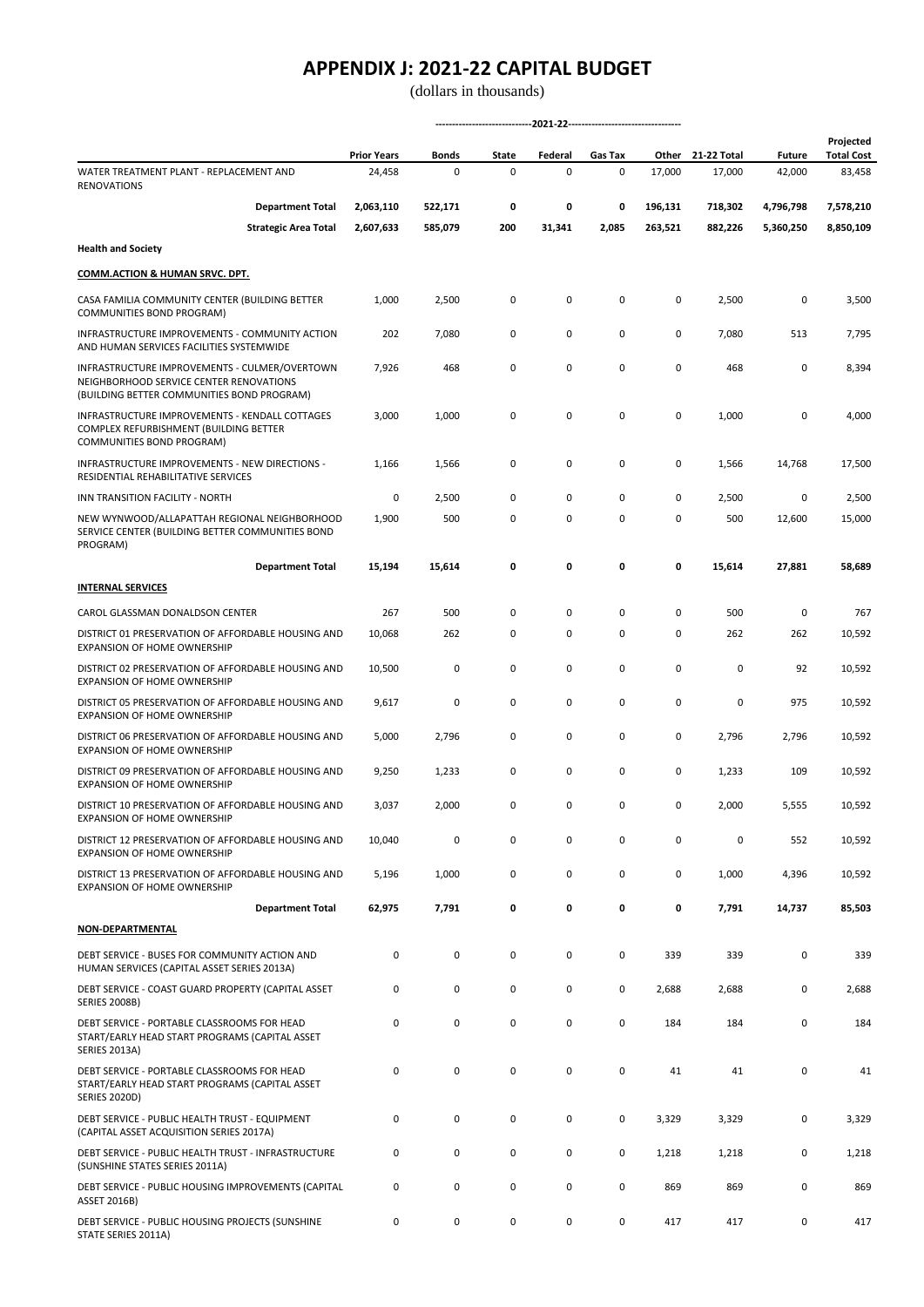(dollars in thousands)

**-----------------------------2021-22----------------------------------**

|                                                                                                                                        | <b>Prior Years</b> | Bonds   | State | Federal | Gas Tax |         | Other 21-22 Total | <b>Future</b> | Projected<br><b>Total Cost</b> |
|----------------------------------------------------------------------------------------------------------------------------------------|--------------------|---------|-------|---------|---------|---------|-------------------|---------------|--------------------------------|
| WATER TREATMENT PLANT - REPLACEMENT AND<br><b>RENOVATIONS</b>                                                                          | 24,458             | 0       | 0     | 0       | 0       | 17,000  | 17,000            | 42,000        | 83,458                         |
| <b>Department Total</b>                                                                                                                | 2,063,110          | 522,171 | 0     | 0       | 0       | 196,131 | 718,302           | 4,796,798     | 7,578,210                      |
| <b>Strategic Area Total</b>                                                                                                            | 2,607,633          | 585,079 | 200   | 31,341  | 2,085   | 263,521 | 882,226           | 5,360,250     | 8,850,109                      |
| <b>Health and Society</b>                                                                                                              |                    |         |       |         |         |         |                   |               |                                |
| <b>COMM.ACTION &amp; HUMAN SRVC. DPT.</b>                                                                                              |                    |         |       |         |         |         |                   |               |                                |
| CASA FAMILIA COMMUNITY CENTER (BUILDING BETTER<br>COMMUNITIES BOND PROGRAM)                                                            | 1,000              | 2,500   | 0     | 0       | 0       | 0       | 2,500             | 0             | 3,500                          |
| INFRASTRUCTURE IMPROVEMENTS - COMMUNITY ACTION<br>AND HUMAN SERVICES FACILITIES SYSTEMWIDE                                             | 202                | 7,080   | 0     | 0       | 0       | 0       | 7,080             | 513           | 7,795                          |
| INFRASTRUCTURE IMPROVEMENTS - CULMER/OVERTOWN<br>NEIGHBORHOOD SERVICE CENTER RENOVATIONS<br>(BUILDING BETTER COMMUNITIES BOND PROGRAM) | 7,926              | 468     | 0     | 0       | 0       | 0       | 468               | 0             | 8,394                          |
| INFRASTRUCTURE IMPROVEMENTS - KENDALL COTTAGES<br>COMPLEX REFURBISHMENT (BUILDING BETTER<br>COMMUNITIES BOND PROGRAM)                  | 3,000              | 1,000   | 0     | 0       | 0       | 0       | 1,000             | 0             | 4,000                          |
| INFRASTRUCTURE IMPROVEMENTS - NEW DIRECTIONS -<br>RESIDENTIAL REHABILITATIVE SERVICES                                                  | 1,166              | 1,566   | 0     | 0       | 0       | 0       | 1,566             | 14,768        | 17,500                         |
| INN TRANSITION FACILITY - NORTH                                                                                                        | 0                  | 2,500   | 0     | 0       | 0       | 0       | 2,500             | 0             | 2,500                          |
| NEW WYNWOOD/ALLAPATTAH REGIONAL NEIGHBORHOOD<br>SERVICE CENTER (BUILDING BETTER COMMUNITIES BOND<br>PROGRAM)                           | 1,900              | 500     | 0     | 0       | 0       | 0       | 500               | 12,600        | 15,000                         |
| <b>Department Total</b>                                                                                                                | 15,194             | 15,614  | 0     | 0       | 0       | 0       | 15,614            | 27,881        | 58,689                         |
| <b>INTERNAL SERVICES</b>                                                                                                               |                    |         |       |         |         |         |                   |               |                                |
| CAROL GLASSMAN DONALDSON CENTER                                                                                                        | 267                | 500     | 0     | 0       | 0       | 0       | 500               | 0             | 767                            |
| DISTRICT 01 PRESERVATION OF AFFORDABLE HOUSING AND<br><b>EXPANSION OF HOME OWNERSHIP</b>                                               | 10,068             | 262     | 0     | 0       | 0       | 0       | 262               | 262           | 10,592                         |
| DISTRICT 02 PRESERVATION OF AFFORDABLE HOUSING AND<br><b>EXPANSION OF HOME OWNERSHIP</b>                                               | 10,500             | 0       | 0     | 0       | 0       | 0       | 0                 | 92            | 10,592                         |
| DISTRICT 05 PRESERVATION OF AFFORDABLE HOUSING AND<br>EXPANSION OF HOME OWNERSHIP                                                      | 9,617              | 0       | 0     | 0       | 0       | 0       | 0                 | 975           | 10,592                         |
| DISTRICT 06 PRESERVATION OF AFFORDABLE HOUSING AND<br>EXPANSION OF HOME OWNERSHIP                                                      | 5,000              | 2,796   | 0     | 0       | 0       | 0       | 2,796             | 2,796         | 10,592                         |
| DISTRICT 09 PRESERVATION OF AFFORDABLE HOUSING AND<br><b>EXPANSION OF HOME OWNERSHIP</b>                                               | 9,250              | 1,233   | 0     | 0       | 0       | 0       | 1,233             | 109           | 10,592                         |
| DISTRICT 10 PRESERVATION OF AFFORDABLE HOUSING AND<br><b>EXPANSION OF HOME OWNERSHIP</b>                                               | 3,037              | 2,000   | 0     | 0       | 0       | 0       | 2,000             | 5,555         | 10,592                         |
| DISTRICT 12 PRESERVATION OF AFFORDABLE HOUSING AND<br>EXPANSION OF HOME OWNERSHIP                                                      | 10,040             | 0       | 0     | 0       | 0       | 0       | 0                 | 552           | 10,592                         |
| DISTRICT 13 PRESERVATION OF AFFORDABLE HOUSING AND<br>EXPANSION OF HOME OWNERSHIP                                                      | 5,196              | 1,000   | 0     | 0       | 0       | 0       | 1,000             | 4,396         | 10,592                         |
| <b>Department Total</b>                                                                                                                | 62,975             | 7,791   | 0     | 0       | 0       | 0       | 7,791             | 14,737        | 85,503                         |
| <b>NON-DEPARTMENTAL</b>                                                                                                                |                    |         |       |         |         |         |                   |               |                                |
| DEBT SERVICE - BUSES FOR COMMUNITY ACTION AND<br>HUMAN SERVICES (CAPITAL ASSET SERIES 2013A)                                           | 0                  | 0       | 0     | 0       | 0       | 339     | 339               | 0             | 339                            |
| DEBT SERVICE - COAST GUARD PROPERTY (CAPITAL ASSET<br><b>SERIES 2008B)</b>                                                             | 0                  | 0       | 0     | 0       | 0       | 2,688   | 2,688             | 0             | 2,688                          |
| DEBT SERVICE - PORTABLE CLASSROOMS FOR HEAD<br>START/EARLY HEAD START PROGRAMS (CAPITAL ASSET<br><b>SERIES 2013A)</b>                  | 0                  | 0       | 0     | 0       | 0       | 184     | 184               | 0             | 184                            |
| DEBT SERVICE - PORTABLE CLASSROOMS FOR HEAD<br>START/EARLY HEAD START PROGRAMS (CAPITAL ASSET<br><b>SERIES 2020D)</b>                  | 0                  | 0       | 0     | 0       | 0       | 41      | 41                | 0             | 41                             |
| DEBT SERVICE - PUBLIC HEALTH TRUST - EQUIPMENT<br>(CAPITAL ASSET ACQUISITION SERIES 2017A)                                             | 0                  | 0       | 0     | 0       | 0       | 3,329   | 3,329             | 0             | 3,329                          |
| DEBT SERVICE - PUBLIC HEALTH TRUST - INFRASTRUCTURE<br>(SUNSHINE STATES SERIES 2011A)                                                  | 0                  | 0       | 0     | 0       | 0       | 1,218   | 1,218             | 0             | 1,218                          |
| DEBT SERVICE - PUBLIC HOUSING IMPROVEMENTS (CAPITAL<br>ASSET 2016B)                                                                    | 0                  | 0       | 0     | 0       | 0       | 869     | 869               | 0             | 869                            |

0 0 0 0 0 417 417 0 417

DEBT SERVICE - PUBLIC HOUSING PROJECTS (SUNSHINE

STATE SERIES 2011A)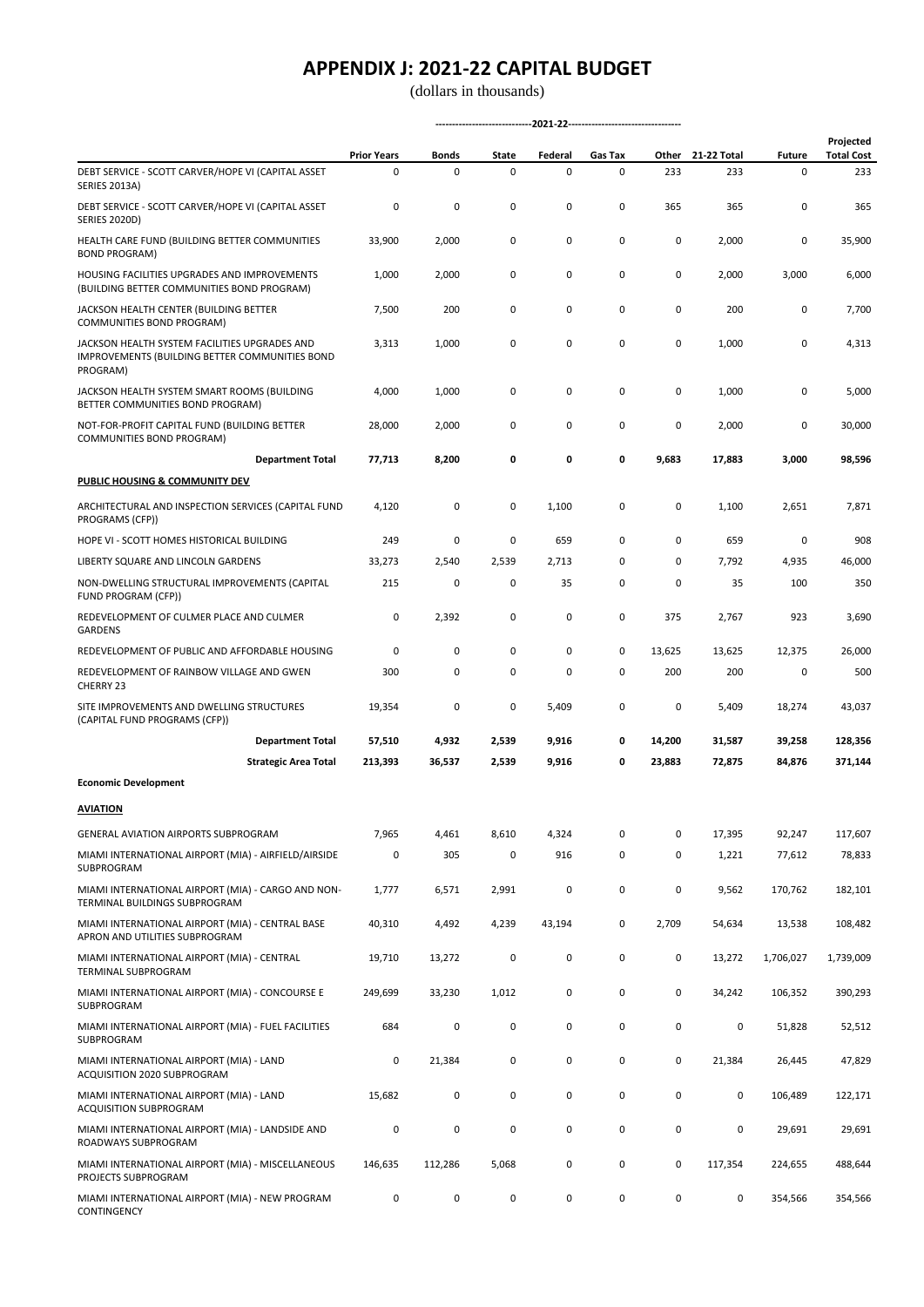|                                                                                                             | <b>Prior Years</b> | <b>Bonds</b> | State | Federal | Gas Tax     | Other       | 21-22 Total | <b>Future</b> | Projected<br><b>Total Cost</b> |  |  |
|-------------------------------------------------------------------------------------------------------------|--------------------|--------------|-------|---------|-------------|-------------|-------------|---------------|--------------------------------|--|--|
| DEBT SERVICE - SCOTT CARVER/HOPE VI (CAPITAL ASSET<br><b>SERIES 2013A)</b>                                  | 0                  | $\mathbf 0$  | 0     | 0       | 0           | 233         | 233         | 0             | 233                            |  |  |
| DEBT SERVICE - SCOTT CARVER/HOPE VI (CAPITAL ASSET<br><b>SERIES 2020D)</b>                                  | 0                  | 0            | 0     | 0       | 0           | 365         | 365         | 0             | 365                            |  |  |
| HEALTH CARE FUND (BUILDING BETTER COMMUNITIES<br><b>BOND PROGRAM)</b>                                       | 33,900             | 2,000        | 0     | 0       | 0           | 0           | 2,000       | 0             | 35,900                         |  |  |
| HOUSING FACILITIES UPGRADES AND IMPROVEMENTS<br>(BUILDING BETTER COMMUNITIES BOND PROGRAM)                  | 1,000              | 2,000        | 0     | 0       | 0           | 0           | 2,000       | 3,000         | 6,000                          |  |  |
| JACKSON HEALTH CENTER (BUILDING BETTER<br>COMMUNITIES BOND PROGRAM)                                         | 7,500              | 200          | 0     | 0       | 0           | $\mathbf 0$ | 200         | 0             | 7,700                          |  |  |
| JACKSON HEALTH SYSTEM FACILITIES UPGRADES AND<br>IMPROVEMENTS (BUILDING BETTER COMMUNITIES BOND<br>PROGRAM) | 3,313              | 1,000        | 0     | 0       | 0           | 0           | 1,000       | 0             | 4,313                          |  |  |
| JACKSON HEALTH SYSTEM SMART ROOMS (BUILDING<br>BETTER COMMUNITIES BOND PROGRAM)                             | 4,000              | 1,000        | 0     | 0       | 0           | 0           | 1,000       | 0             | 5,000                          |  |  |
| NOT-FOR-PROFIT CAPITAL FUND (BUILDING BETTER<br>COMMUNITIES BOND PROGRAM)                                   | 28,000             | 2,000        | 0     | 0       | 0           | 0           | 2,000       | 0             | 30,000                         |  |  |
| <b>Department Total</b>                                                                                     | 77,713             | 8,200        | 0     | 0       | 0           | 9,683       | 17,883      | 3,000         | 98,596                         |  |  |
| PUBLIC HOUSING & COMMUNITY DEV                                                                              |                    |              |       |         |             |             |             |               |                                |  |  |
| ARCHITECTURAL AND INSPECTION SERVICES (CAPITAL FUND<br>PROGRAMS (CFP))                                      | 4,120              | 0            | 0     | 1,100   | 0           | 0           | 1,100       | 2,651         | 7,871                          |  |  |
| HOPE VI - SCOTT HOMES HISTORICAL BUILDING                                                                   | 249                | 0            | 0     | 659     | 0           | 0           | 659         | 0             | 908                            |  |  |
| LIBERTY SQUARE AND LINCOLN GARDENS                                                                          | 33,273             | 2,540        | 2,539 | 2,713   | 0           | 0           | 7,792       | 4,935         | 46,000                         |  |  |
| NON-DWELLING STRUCTURAL IMPROVEMENTS (CAPITAL<br>FUND PROGRAM (CFP))                                        | 215                | 0            | 0     | 35      | 0           | 0           | 35          | 100           | 350                            |  |  |
| REDEVELOPMENT OF CULMER PLACE AND CULMER<br><b>GARDENS</b>                                                  | 0                  | 2,392        | 0     | 0       | 0           | 375         | 2,767       | 923           | 3,690                          |  |  |
| REDEVELOPMENT OF PUBLIC AND AFFORDABLE HOUSING                                                              | 0                  | 0            | 0     | 0       | 0           | 13,625      | 13,625      | 12,375        | 26,000                         |  |  |
| REDEVELOPMENT OF RAINBOW VILLAGE AND GWEN<br>CHERRY 23                                                      | 300                | 0            | 0     | 0       | $\mathbf 0$ | 200         | 200         | 0             | 500                            |  |  |
| SITE IMPROVEMENTS AND DWELLING STRUCTURES<br>(CAPITAL FUND PROGRAMS (CFP))                                  | 19,354             | 0            | 0     | 5,409   | 0           | $\pmb{0}$   | 5,409       | 18,274        | 43,037                         |  |  |
| <b>Department Total</b>                                                                                     | 57,510             | 4,932        | 2,539 | 9,916   | 0           | 14,200      | 31,587      | 39,258        | 128,356                        |  |  |
| <b>Strategic Area Total</b>                                                                                 | 213,393            | 36,537       | 2,539 | 9,916   | 0           | 23,883      | 72,875      | 84,876        | 371,144                        |  |  |
| <b>Economic Development</b>                                                                                 |                    |              |       |         |             |             |             |               |                                |  |  |
| <b>AVIATION</b>                                                                                             |                    |              |       |         |             |             |             |               |                                |  |  |
| <b>GENERAL AVIATION AIRPORTS SUBPROGRAM</b>                                                                 | 7,965              | 4,461        | 8,610 | 4,324   | 0           | 0           | 17,395      | 92,247        | 117,607                        |  |  |
| MIAMI INTERNATIONAL AIRPORT (MIA) - AIRFIELD/AIRSIDE<br>SUBPROGRAM                                          | 0                  | 305          | 0     | 916     | 0           | 0           | 1,221       | 77,612        | 78,833                         |  |  |
| MIAMI INTERNATIONAL AIRPORT (MIA) - CARGO AND NON-<br>TERMINAL BUILDINGS SUBPROGRAM                         | 1,777              | 6,571        | 2,991 | 0       | 0           | 0           | 9,562       | 170,762       | 182,101                        |  |  |
| MIAMI INTERNATIONAL AIRPORT (MIA) - CENTRAL BASE<br>APRON AND UTILITIES SUBPROGRAM                          | 40,310             | 4,492        | 4,239 | 43,194  | 0           | 2,709       | 54,634      | 13,538        | 108,482                        |  |  |
| MIAMI INTERNATIONAL AIRPORT (MIA) - CENTRAL<br>TERMINAL SUBPROGRAM                                          | 19,710             | 13,272       | 0     | 0       | 0           | 0           | 13,272      | 1,706,027     | 1,739,009                      |  |  |
| MIAMI INTERNATIONAL AIRPORT (MIA) - CONCOURSE E<br>SUBPROGRAM                                               | 249,699            | 33,230       | 1,012 | 0       | 0           | 0           | 34,242      | 106,352       | 390,293                        |  |  |
| MIAMI INTERNATIONAL AIRPORT (MIA) - FUEL FACILITIES<br>SUBPROGRAM                                           | 684                | 0            | 0     | 0       | 0           | 0           | 0           | 51,828        | 52,512                         |  |  |
| MIAMI INTERNATIONAL AIRPORT (MIA) - LAND<br>ACQUISITION 2020 SUBPROGRAM                                     | 0                  | 21,384       | 0     | 0       | 0           | 0           | 21,384      | 26,445        | 47,829                         |  |  |
| MIAMI INTERNATIONAL AIRPORT (MIA) - LAND<br>ACQUISITION SUBPROGRAM                                          | 15,682             | 0            | 0     | 0       | 0           | 0           | 0           | 106,489       | 122,171                        |  |  |
| MIAMI INTERNATIONAL AIRPORT (MIA) - LANDSIDE AND<br>ROADWAYS SUBPROGRAM                                     | 0                  | 0            | 0     | 0       | 0           | 0           | 0           | 29,691        | 29,691                         |  |  |
| MIAMI INTERNATIONAL AIRPORT (MIA) - MISCELLANEOUS<br>PROJECTS SUBPROGRAM                                    | 146,635            | 112,286      | 5,068 | 0       | 0           | 0           | 117,354     | 224,655       | 488,644                        |  |  |
| MIAMI INTERNATIONAL AIRPORT (MIA) - NEW PROGRAM<br>CONTINGENCY                                              | 0                  | 0            | 0     | 0       | 0           | 0           | 0           | 354,566       | 354,566                        |  |  |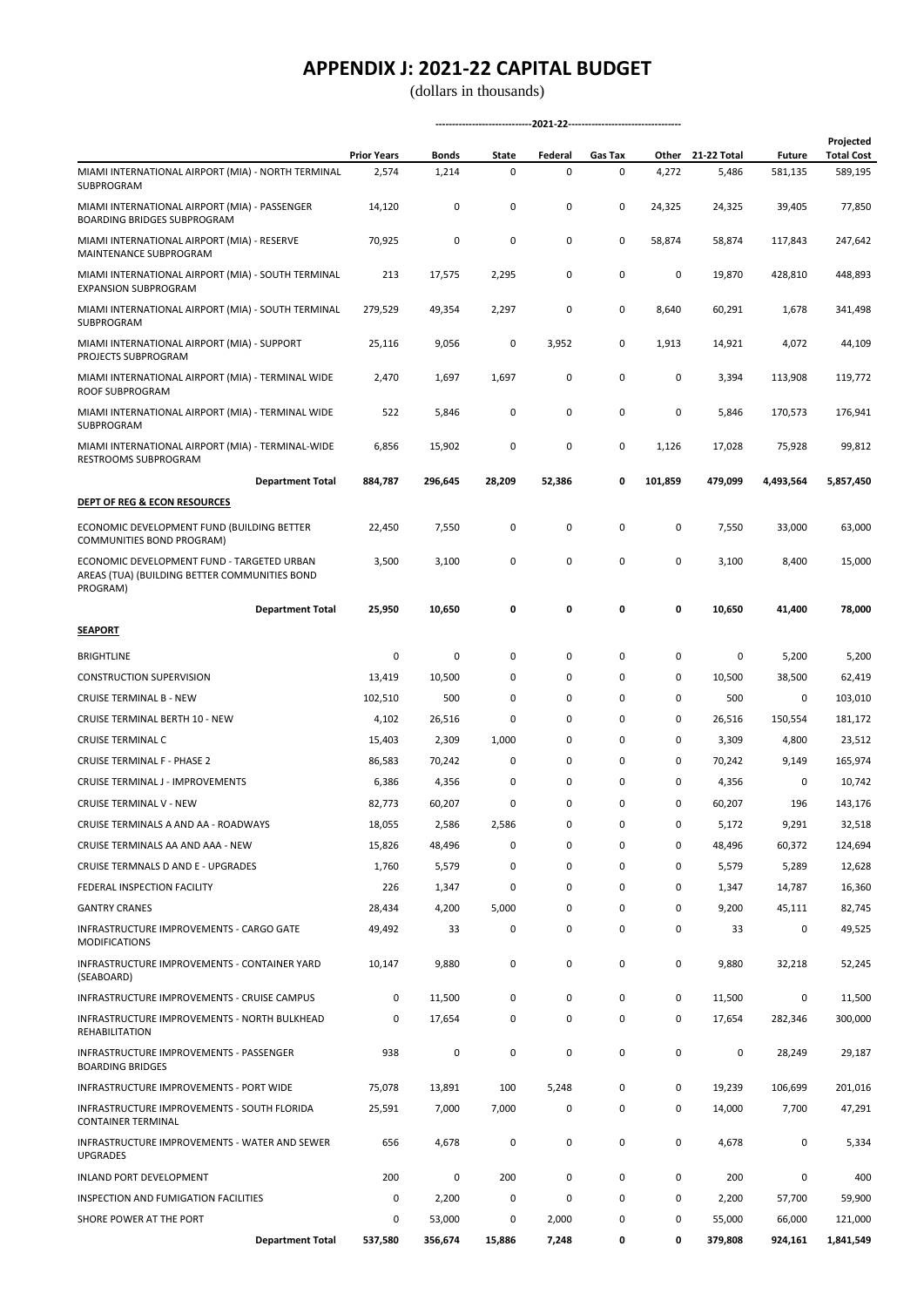|                                                                                             | <b>Prior Years</b> | Bonds   | State  | Federal     | Gas Tax |           | Other 21-22 Total |           | <b>Future</b> | Projected<br><b>Total Cost</b> |
|---------------------------------------------------------------------------------------------|--------------------|---------|--------|-------------|---------|-----------|-------------------|-----------|---------------|--------------------------------|
| MIAMI INTERNATIONAL AIRPORT (MIA) - NORTH TERMINAL<br>SUBPROGRAM                            | 2,574              | 1,214   | 0      | 0           | 0       | 4,272     | 5,486             | 581,135   | 589,195       |                                |
| MIAMI INTERNATIONAL AIRPORT (MIA) - PASSENGER<br><b>BOARDING BRIDGES SUBPROGRAM</b>         | 14,120             | 0       | 0      | 0           | 0       | 24,325    | 24,325            | 39,405    | 77,850        |                                |
| MIAMI INTERNATIONAL AIRPORT (MIA) - RESERVE<br>MAINTENANCE SUBPROGRAM                       | 70,925             | 0       | 0      | $\mathsf 0$ | 0       | 58,874    | 58,874            | 117,843   | 247,642       |                                |
| MIAMI INTERNATIONAL AIRPORT (MIA) - SOUTH TERMINAL<br><b>EXPANSION SUBPROGRAM</b>           | 213                | 17,575  | 2,295  | 0           | 0       | 0         | 19,870            | 428,810   | 448,893       |                                |
| MIAMI INTERNATIONAL AIRPORT (MIA) - SOUTH TERMINAL<br>SUBPROGRAM                            | 279,529            | 49,354  | 2,297  | 0           | 0       | 8,640     | 60,291            | 1,678     | 341,498       |                                |
| MIAMI INTERNATIONAL AIRPORT (MIA) - SUPPORT<br>PROJECTS SUBPROGRAM                          | 25,116             | 9,056   | 0      | 3,952       | 0       | 1,913     | 14,921            | 4,072     | 44,109        |                                |
| MIAMI INTERNATIONAL AIRPORT (MIA) - TERMINAL WIDE<br>ROOF SUBPROGRAM                        | 2,470              | 1,697   | 1,697  | 0           | 0       | 0         | 3,394             | 113,908   | 119,772       |                                |
| MIAMI INTERNATIONAL AIRPORT (MIA) - TERMINAL WIDE<br>SUBPROGRAM                             | 522                | 5,846   | 0      | 0           | 0       | 0         | 5,846             | 170,573   | 176,941       |                                |
| MIAMI INTERNATIONAL AIRPORT (MIA) - TERMINAL-WIDE<br><b>RESTROOMS SUBPROGRAM</b>            | 6,856              | 15,902  | 0      | 0           | 0       | 1,126     | 17,028            | 75,928    | 99,812        |                                |
| <b>Department Total</b>                                                                     | 884,787            | 296,645 | 28,209 | 52,386      | 0       | 101,859   | 479,099           | 4,493,564 | 5,857,450     |                                |
| <b>DEPT OF REG &amp; ECON RESOURCES</b>                                                     |                    |         |        |             |         |           |                   |           |               |                                |
| ECONOMIC DEVELOPMENT FUND (BUILDING BETTER<br>COMMUNITIES BOND PROGRAM)                     | 22,450             | 7,550   | 0      | 0           | 0       | 0         | 7,550             | 33,000    | 63,000        |                                |
| ECONOMIC DEVELOPMENT FUND - TARGETED URBAN<br>AREAS (TUA) (BUILDING BETTER COMMUNITIES BOND | 3,500              | 3,100   | 0      | $\mathsf 0$ | 0       | $\pmb{0}$ | 3,100             | 8,400     | 15,000        |                                |
| PROGRAM)<br><b>Department Total</b>                                                         | 25,950             | 10,650  | 0      | 0           | 0       | 0         | 10,650            | 41,400    | 78,000        |                                |
| <b>SEAPORT</b>                                                                              |                    |         |        |             |         |           |                   |           |               |                                |
| <b>BRIGHTLINE</b>                                                                           | 0                  | 0       | 0      | 0           | 0       | 0         | 0                 | 5,200     | 5,200         |                                |
| <b>CONSTRUCTION SUPERVISION</b>                                                             | 13,419             | 10,500  | 0      | 0           | 0       | 0         | 10,500            | 38,500    | 62,419        |                                |
| <b>CRUISE TERMINAL B - NEW</b>                                                              | 102,510            | 500     | 0      | 0           | 0       | 0         | 500               | 0         | 103,010       |                                |
| CRUISE TERMINAL BERTH 10 - NEW                                                              | 4,102              | 26,516  | 0      | 0           | 0       | 0         | 26,516            | 150,554   | 181,172       |                                |
| <b>CRUISE TERMINAL C</b>                                                                    | 15,403             | 2,309   | 1,000  | 0           | 0       | 0         | 3,309             | 4,800     | 23,512        |                                |
| <b>CRUISE TERMINAL F - PHASE 2</b>                                                          | 86,583             | 70,242  | 0      | 0           | 0       | 0         | 70,242            | 9,149     | 165,974       |                                |
| CRUISE TERMINAL J - IMPROVEMENTS                                                            | 6,386              | 4,356   | 0      | 0           | 0       | 0         | 4,356             | 0         | 10,742        |                                |
| CRUISE TERMINAL V - NEW                                                                     | 82,773             | 60,207  | 0      | $\mathsf 0$ | 0       | 0         | 60,207            | 196       | 143,176       |                                |
| CRUISE TERMINALS A AND AA - ROADWAYS                                                        | 18,055             | 2,586   | 2,586  | 0           | 0       | 0         | 5,172             | 9,291     | 32,518        |                                |
| CRUISE TERMINALS AA AND AAA - NEW                                                           | 15,826             | 48,496  | 0      | 0           | 0       | 0         | 48,496            | 60,372    | 124,694       |                                |
| CRUISE TERMNALS D AND E - UPGRADES                                                          | 1,760              | 5,579   | 0      | 0           | 0       | 0         | 5,579             | 5,289     | 12,628        |                                |
| FEDERAL INSPECTION FACILITY                                                                 | 226                | 1,347   | 0      | 0           | 0       | 0         | 1,347             | 14,787    | 16,360        |                                |
| <b>GANTRY CRANES</b>                                                                        | 28,434             | 4,200   | 5,000  | 0           | 0       | 0         | 9,200             | 45,111    | 82,745        |                                |
| INFRASTRUCTURE IMPROVEMENTS - CARGO GATE<br>MODIFICATIONS                                   | 49,492             | 33      | 0      | 0           | 0       | $\pmb{0}$ | 33                | 0         | 49,525        |                                |
| INFRASTRUCTURE IMPROVEMENTS - CONTAINER YARD<br>(SEABOARD)                                  | 10,147             | 9,880   | 0      | 0           | 0       | 0         | 9,880             | 32,218    | 52,245        |                                |
| INFRASTRUCTURE IMPROVEMENTS - CRUISE CAMPUS                                                 | 0                  | 11,500  | 0      | 0           | 0       | 0         | 11,500            | 0         | 11,500        |                                |
| INFRASTRUCTURE IMPROVEMENTS - NORTH BULKHEAD<br><b>REHABILITATION</b>                       | 0                  | 17,654  | 0      | 0           | 0       | 0         | 17,654            | 282,346   | 300,000       |                                |
| INFRASTRUCTURE IMPROVEMENTS - PASSENGER<br><b>BOARDING BRIDGES</b>                          | 938                | 0       | 0      | $\mathsf 0$ | 0       | $\pmb{0}$ | 0                 | 28,249    | 29,187        |                                |
| INFRASTRUCTURE IMPROVEMENTS - PORT WIDE                                                     | 75,078             | 13,891  | 100    | 5,248       | 0       | $\pmb{0}$ | 19,239            | 106,699   | 201,016       |                                |
| INFRASTRUCTURE IMPROVEMENTS - SOUTH FLORIDA<br><b>CONTAINER TERMINAL</b>                    | 25,591             | 7,000   | 7,000  | 0           | 0       | 0         | 14,000            | 7,700     | 47,291        |                                |
| INFRASTRUCTURE IMPROVEMENTS - WATER AND SEWER<br><b>UPGRADES</b>                            | 656                | 4,678   | 0      | 0           | 0       | 0         | 4,678             | 0         | 5,334         |                                |
| INLAND PORT DEVELOPMENT                                                                     | 200                | 0       | 200    | 0           | 0       | 0         | 200               | 0         | 400           |                                |
| INSPECTION AND FUMIGATION FACILITIES                                                        | 0                  | 2,200   | 0      | 0           | 0       | 0         | 2,200             | 57,700    | 59,900        |                                |
| SHORE POWER AT THE PORT                                                                     | 0                  | 53,000  | 0      | 2,000       | 0       | 0         | 55,000            | 66,000    | 121,000       |                                |
| <b>Department Total</b>                                                                     | 537,580            | 356,674 | 15,886 | 7,248       | 0       | 0         | 379,808           | 924,161   | 1,841,549     |                                |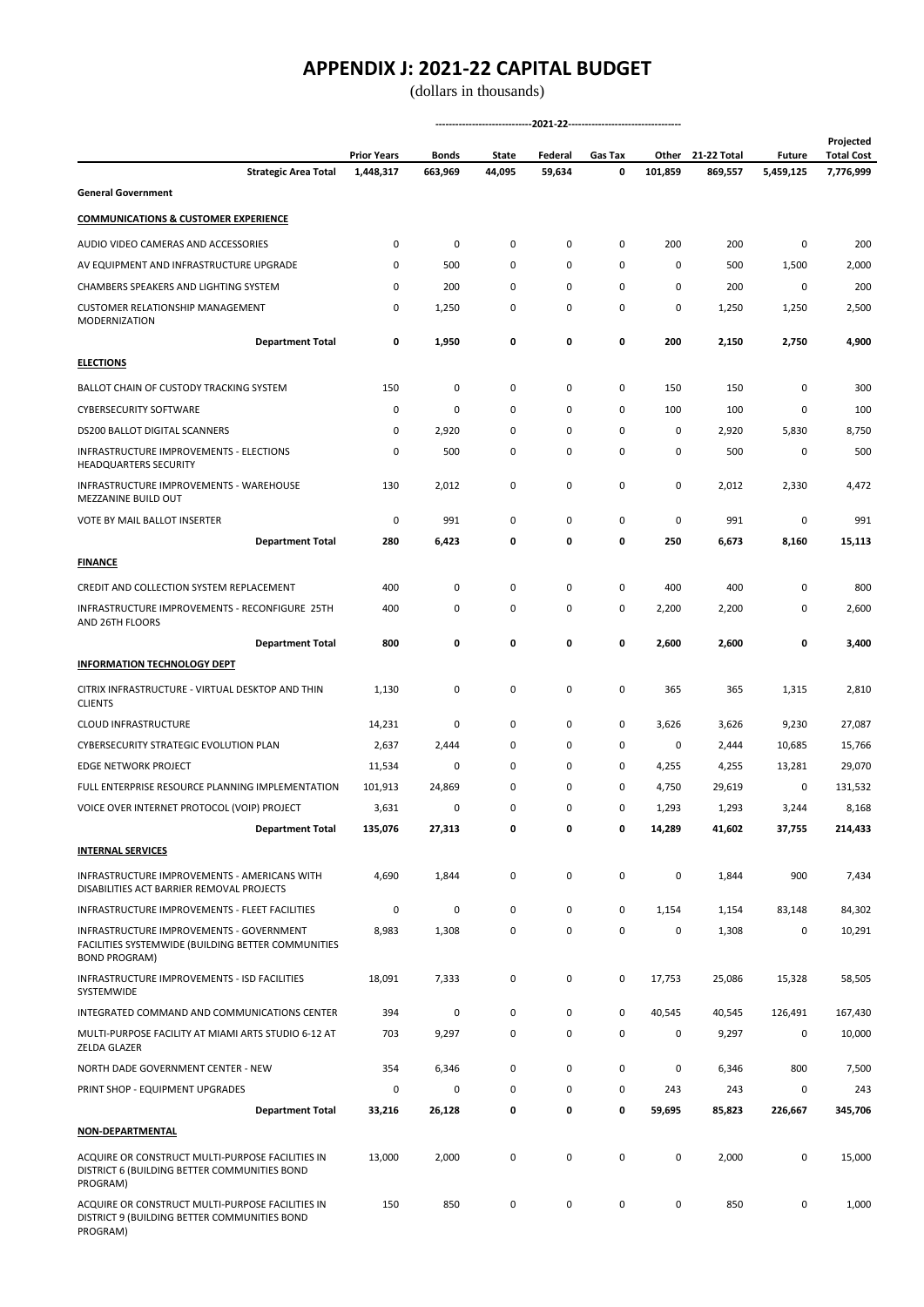|                                                                                                              | <b>Prior Years</b> | Bonds       | State    | Federal | Gas Tax | Other     | 21-22 Total | <b>Future</b> | Projected<br><b>Total Cost</b> |
|--------------------------------------------------------------------------------------------------------------|--------------------|-------------|----------|---------|---------|-----------|-------------|---------------|--------------------------------|
| <b>Strategic Area Total</b><br><b>General Government</b>                                                     | 1,448,317          | 663,969     | 44,095   | 59,634  | 0       | 101,859   | 869,557     | 5,459,125     | 7,776,999                      |
|                                                                                                              |                    |             |          |         |         |           |             |               |                                |
| <b>COMMUNICATIONS &amp; CUSTOMER EXPERIENCE</b>                                                              |                    |             |          |         |         |           |             |               |                                |
| AUDIO VIDEO CAMERAS AND ACCESSORIES                                                                          | 0                  | 0           | 0        | 0       | 0       | 200       | 200         | 0             | 200                            |
| AV EQUIPMENT AND INFRASTRUCTURE UPGRADE                                                                      | 0                  | 500         | 0        | 0       | 0       | 0         | 500         | 1,500         | 2,000                          |
| CHAMBERS SPEAKERS AND LIGHTING SYSTEM                                                                        | 0                  | 200         | 0        | 0       | 0       | 0         | 200         | 0             | 200                            |
| CUSTOMER RELATIONSHIP MANAGEMENT<br><b>MODERNIZATION</b>                                                     | 0                  | 1,250       | 0        | 0       | 0       | 0         | 1,250       | 1,250         | 2,500                          |
| <b>Department Total</b>                                                                                      | 0                  | 1,950       | 0        | 0       | 0       | 200       | 2,150       | 2,750         | 4,900                          |
| <b>ELECTIONS</b>                                                                                             |                    |             |          |         |         |           |             |               |                                |
| BALLOT CHAIN OF CUSTODY TRACKING SYSTEM                                                                      | 150                | 0           | 0        | 0       | 0       | 150       | 150         | 0             | 300                            |
| <b>CYBERSECURITY SOFTWARE</b>                                                                                | 0                  | $\mathbf 0$ | 0        | 0       | 0       | 100       | 100         | 0             | 100                            |
| <b>DS200 BALLOT DIGITAL SCANNERS</b>                                                                         | 0                  | 2,920       | 0        | 0       | 0       | 0         | 2,920       | 5,830         | 8,750                          |
| INFRASTRUCTURE IMPROVEMENTS - ELECTIONS<br><b>HEADQUARTERS SECURITY</b>                                      | 0                  | 500         | 0        | 0       | 0       | 0         | 500         | 0             | 500                            |
| INFRASTRUCTURE IMPROVEMENTS - WAREHOUSE<br>MEZZANINE BUILD OUT                                               | 130                | 2,012       | 0        | 0       | 0       | 0         | 2,012       | 2,330         | 4,472                          |
| VOTE BY MAIL BALLOT INSERTER                                                                                 | 0                  | 991         | 0        | 0       | 0       | 0         | 991         | 0             | 991                            |
| <b>Department Total</b>                                                                                      | 280                | 6,423       | 0        | 0       | 0       | 250       | 6,673       | 8,160         | 15,113                         |
| <b>FINANCE</b>                                                                                               |                    |             |          |         |         |           |             |               |                                |
| CREDIT AND COLLECTION SYSTEM REPLACEMENT                                                                     | 400                | 0           | 0        | 0       | 0       | 400       | 400         | 0             | 800                            |
| INFRASTRUCTURE IMPROVEMENTS - RECONFIGURE 25TH<br>AND 26TH FLOORS                                            | 400                | 0           | 0        | 0       | 0       | 2,200     | 2,200       | 0             | 2,600                          |
| <b>Department Total</b>                                                                                      | 800                | 0           | 0        | 0       | 0       | 2,600     | 2,600       | 0             | 3,400                          |
| <b>INFORMATION TECHNOLOGY DEPT</b>                                                                           |                    |             |          |         |         |           |             |               |                                |
| CITRIX INFRASTRUCTURE - VIRTUAL DESKTOP AND THIN                                                             | 1,130              | 0           | 0        | 0       | 0       | 365       | 365         | 1,315         | 2,810                          |
| <b>CLIENTS</b>                                                                                               |                    |             |          |         |         |           |             |               |                                |
| CLOUD INFRASTRUCTURE                                                                                         | 14,231             | 0           | 0        | 0       | 0       | 3,626     | 3,626       | 9,230         | 27,087                         |
| CYBERSECURITY STRATEGIC EVOLUTION PLAN                                                                       | 2,637              | 2,444       | 0        | 0       | 0       | 0         | 2,444       | 10,685        | 15,766                         |
| EDGE NETWORK PROJECT                                                                                         | 11,534             | 0           | 0        | 0       | 0       | 4,255     | 4,255       | 13,281        | 29,070                         |
| FULL ENTERPRISE RESOURCE PLANNING IMPLEMENTATION                                                             | 101,913            | 24,869      | 0        | 0       | 0       | 4,750     | 29,619      | 0             | 131,532                        |
| VOICE OVER INTERNET PROTOCOL (VOIP) PROJECT                                                                  | 3,631              | 0           | $\Omega$ | 0       | 0       | 1,293     | 1,293       | 3,244         | 8,168                          |
| <b>Department Total</b>                                                                                      | 135,076            | 27,313      | 0        | 0       | 0       | 14,289    | 41,602      | 37,755        | 214,433                        |
| <b>INTERNAL SERVICES</b>                                                                                     |                    |             |          |         |         |           |             |               |                                |
| INFRASTRUCTURE IMPROVEMENTS - AMERICANS WITH<br>DISABILITIES ACT BARRIER REMOVAL PROJECTS                    | 4,690              | 1,844       | 0        | 0       | 0       | 0         | 1,844       | 900           | 7,434                          |
| INFRASTRUCTURE IMPROVEMENTS - FLEET FACILITIES                                                               | 0                  | 0           | 0        | 0       | 0       | 1,154     | 1,154       | 83,148        | 84,302                         |
| INFRASTRUCTURE IMPROVEMENTS - GOVERNMENT<br>FACILITIES SYSTEMWIDE (BUILDING BETTER COMMUNITIES               | 8,983              | 1,308       | 0        | 0       | 0       | 0         | 1,308       | 0             | 10,291                         |
| <b>BOND PROGRAM)</b><br>INFRASTRUCTURE IMPROVEMENTS - ISD FACILITIES<br>SYSTEMWIDE                           | 18,091             | 7,333       | 0        | 0       | 0       | 17,753    | 25,086      | 15,328        | 58,505                         |
| INTEGRATED COMMAND AND COMMUNICATIONS CENTER                                                                 | 394                | 0           | 0        | 0       | 0       | 40,545    | 40,545      | 126,491       | 167,430                        |
| MULTI-PURPOSE FACILITY AT MIAMI ARTS STUDIO 6-12 AT<br>ZELDA GLAZER                                          | 703                | 9,297       | 0        | 0       | 0       | 0         | 9,297       | 0             | 10,000                         |
| NORTH DADE GOVERNMENT CENTER - NEW                                                                           | 354                | 6,346       | 0        | 0       | 0       | $\pmb{0}$ | 6,346       | 800           | 7,500                          |
| PRINT SHOP - EQUIPMENT UPGRADES                                                                              | 0                  | 0           | 0        | 0       | 0       | 243       | 243         | 0             | 243                            |
| <b>Department Total</b>                                                                                      | 33,216             | 26,128      | 0        | 0       | 0       | 59,695    | 85,823      | 226,667       | 345,706                        |
| <b>NON-DEPARTMENTAL</b>                                                                                      |                    |             |          |         |         |           |             |               |                                |
|                                                                                                              |                    |             |          |         |         |           |             |               |                                |
| ACQUIRE OR CONSTRUCT MULTI-PURPOSE FACILITIES IN<br>DISTRICT 6 (BUILDING BETTER COMMUNITIES BOND<br>PROGRAM) | 13,000             | 2,000       | 0        | 0       | 0       | 0         | 2,000       | 0             | 15,000                         |
| ACQUIRE OR CONSTRUCT MULTI-PURPOSE FACILITIES IN<br>DISTRICT 9 (BUILDING BETTER COMMUNITIES BOND<br>PROGRAM) | 150                | 850         | 0        | 0       | 0       | 0         | 850         | 0             | 1,000                          |